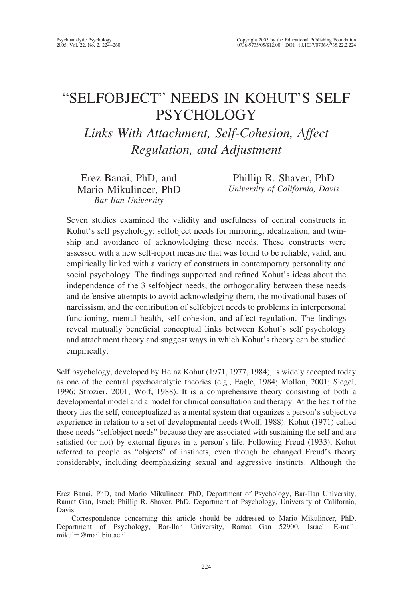# "SELFOBJECT" NEEDS IN KOHUT'S SELF **PSYCHOLOGY**

*Links With Attachment, Self-Cohesion, Affect Regulation, and Adjustment*

Erez Banai, PhD, and Mario Mikulincer, PhD *Bar-Ilan University*

Phillip R. Shaver, PhD *University of California, Davis*

Seven studies examined the validity and usefulness of central constructs in Kohut's self psychology: selfobject needs for mirroring, idealization, and twinship and avoidance of acknowledging these needs. These constructs were assessed with a new self-report measure that was found to be reliable, valid, and empirically linked with a variety of constructs in contemporary personality and social psychology. The findings supported and refined Kohut's ideas about the independence of the 3 selfobject needs, the orthogonality between these needs and defensive attempts to avoid acknowledging them, the motivational bases of narcissism, and the contribution of selfobject needs to problems in interpersonal functioning, mental health, self-cohesion, and affect regulation. The findings reveal mutually beneficial conceptual links between Kohut's self psychology and attachment theory and suggest ways in which Kohut's theory can be studied empirically.

Self psychology, developed by Heinz Kohut (1971, 1977, 1984), is widely accepted today as one of the central psychoanalytic theories (e.g., Eagle, 1984; Mollon, 2001; Siegel, 1996; Strozier, 2001; Wolf, 1988). It is a comprehensive theory consisting of both a developmental model and a model for clinical consultation and therapy. At the heart of the theory lies the self, conceptualized as a mental system that organizes a person's subjective experience in relation to a set of developmental needs (Wolf, 1988). Kohut (1971) called these needs "selfobject needs" because they are associated with sustaining the self and are satisfied (or not) by external figures in a person's life. Following Freud (1933), Kohut referred to people as "objects" of instincts, even though he changed Freud's theory considerably, including deemphasizing sexual and aggressive instincts. Although the

Erez Banai, PhD, and Mario Mikulincer, PhD, Department of Psychology, Bar-Ilan University, Ramat Gan, Israel; Phillip R. Shaver, PhD, Department of Psychology, University of California, Davis.

Correspondence concerning this article should be addressed to Mario Mikulincer, PhD, Department of Psychology, Bar-Ilan University, Ramat Gan 52900, Israel. E-mail: mikulm@mail.biu.ac.il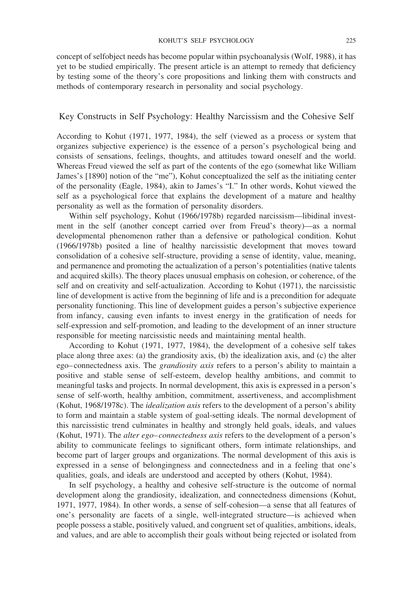concept of selfobject needs has become popular within psychoanalysis (Wolf, 1988), it has yet to be studied empirically. The present article is an attempt to remedy that deficiency by testing some of the theory's core propositions and linking them with constructs and methods of contemporary research in personality and social psychology.

# Key Constructs in Self Psychology: Healthy Narcissism and the Cohesive Self

According to Kohut (1971, 1977, 1984), the self (viewed as a process or system that organizes subjective experience) is the essence of a person's psychological being and consists of sensations, feelings, thoughts, and attitudes toward oneself and the world. Whereas Freud viewed the self as part of the contents of the ego (somewhat like William James's [1890] notion of the "me"), Kohut conceptualized the self as the initiating center of the personality (Eagle, 1984), akin to James's "I." In other words, Kohut viewed the self as a psychological force that explains the development of a mature and healthy personality as well as the formation of personality disorders.

Within self psychology, Kohut (1966/1978b) regarded narcissism—libidinal investment in the self (another concept carried over from Freud's theory)—as a normal developmental phenomenon rather than a defensive or pathological condition. Kohut (1966/1978b) posited a line of healthy narcissistic development that moves toward consolidation of a cohesive self-structure, providing a sense of identity, value, meaning, and permanence and promoting the actualization of a person's potentialities (native talents and acquired skills). The theory places unusual emphasis on cohesion, or coherence, of the self and on creativity and self-actualization. According to Kohut (1971), the narcissistic line of development is active from the beginning of life and is a precondition for adequate personality functioning. This line of development guides a person's subjective experience from infancy, causing even infants to invest energy in the gratification of needs for self-expression and self-promotion, and leading to the development of an inner structure responsible for meeting narcissistic needs and maintaining mental health.

According to Kohut (1971, 1977, 1984), the development of a cohesive self takes place along three axes: (a) the grandiosity axis, (b) the idealization axis, and (c) the alter ego–connectedness axis. The *grandiosity axis* refers to a person's ability to maintain a positive and stable sense of self-esteem, develop healthy ambitions, and commit to meaningful tasks and projects. In normal development, this axis is expressed in a person's sense of self-worth, healthy ambition, commitment, assertiveness, and accomplishment (Kohut, 1968/1978c). The *idealization axis* refers to the development of a person's ability to form and maintain a stable system of goal-setting ideals. The normal development of this narcissistic trend culminates in healthy and strongly held goals, ideals, and values (Kohut, 1971). The *alter ego–connectedness axis* refers to the development of a person's ability to communicate feelings to significant others, form intimate relationships, and become part of larger groups and organizations. The normal development of this axis is expressed in a sense of belongingness and connectedness and in a feeling that one's qualities, goals, and ideals are understood and accepted by others (Kohut, 1984).

In self psychology, a healthy and cohesive self-structure is the outcome of normal development along the grandiosity, idealization, and connectedness dimensions (Kohut, 1971, 1977, 1984). In other words, a sense of self-cohesion—a sense that all features of one's personality are facets of a single, well-integrated structure—is achieved when people possess a stable, positively valued, and congruent set of qualities, ambitions, ideals, and values, and are able to accomplish their goals without being rejected or isolated from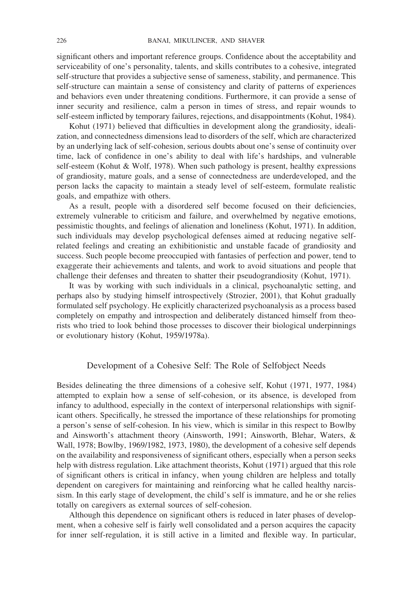significant others and important reference groups. Confidence about the acceptability and serviceability of one's personality, talents, and skills contributes to a cohesive, integrated self-structure that provides a subjective sense of sameness, stability, and permanence. This self-structure can maintain a sense of consistency and clarity of patterns of experiences and behaviors even under threatening conditions. Furthermore, it can provide a sense of inner security and resilience, calm a person in times of stress, and repair wounds to self-esteem inflicted by temporary failures, rejections, and disappointments (Kohut, 1984).

Kohut (1971) believed that difficulties in development along the grandiosity, idealization, and connectedness dimensions lead to disorders of the self, which are characterized by an underlying lack of self-cohesion, serious doubts about one's sense of continuity over time, lack of confidence in one's ability to deal with life's hardships, and vulnerable self-esteem (Kohut & Wolf, 1978). When such pathology is present, healthy expressions of grandiosity, mature goals, and a sense of connectedness are underdeveloped, and the person lacks the capacity to maintain a steady level of self-esteem, formulate realistic goals, and empathize with others.

As a result, people with a disordered self become focused on their deficiencies, extremely vulnerable to criticism and failure, and overwhelmed by negative emotions, pessimistic thoughts, and feelings of alienation and loneliness (Kohut, 1971). In addition, such individuals may develop psychological defenses aimed at reducing negative selfrelated feelings and creating an exhibitionistic and unstable facade of grandiosity and success. Such people become preoccupied with fantasies of perfection and power, tend to exaggerate their achievements and talents, and work to avoid situations and people that challenge their defenses and threaten to shatter their pseudograndiosity (Kohut, 1971).

It was by working with such individuals in a clinical, psychoanalytic setting, and perhaps also by studying himself introspectively (Strozier, 2001), that Kohut gradually formulated self psychology. He explicitly characterized psychoanalysis as a process based completely on empathy and introspection and deliberately distanced himself from theorists who tried to look behind those processes to discover their biological underpinnings or evolutionary history (Kohut, 1959/1978a).

# Development of a Cohesive Self: The Role of Selfobject Needs

Besides delineating the three dimensions of a cohesive self, Kohut (1971, 1977, 1984) attempted to explain how a sense of self-cohesion, or its absence, is developed from infancy to adulthood, especially in the context of interpersonal relationships with significant others. Specifically, he stressed the importance of these relationships for promoting a person's sense of self-cohesion. In his view, which is similar in this respect to Bowlby and Ainsworth's attachment theory (Ainsworth, 1991; Ainsworth, Blehar, Waters, & Wall, 1978; Bowlby, 1969/1982, 1973, 1980), the development of a cohesive self depends on the availability and responsiveness of significant others, especially when a person seeks help with distress regulation. Like attachment theorists, Kohut (1971) argued that this role of significant others is critical in infancy, when young children are helpless and totally dependent on caregivers for maintaining and reinforcing what he called healthy narcissism. In this early stage of development, the child's self is immature, and he or she relies totally on caregivers as external sources of self-cohesion.

Although this dependence on significant others is reduced in later phases of development, when a cohesive self is fairly well consolidated and a person acquires the capacity for inner self-regulation, it is still active in a limited and flexible way. In particular,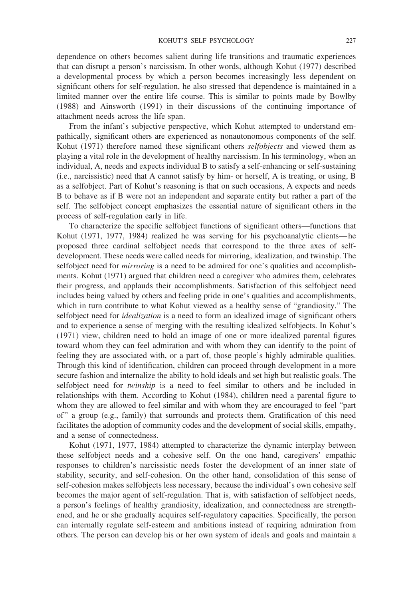dependence on others becomes salient during life transitions and traumatic experiences that can disrupt a person's narcissism. In other words, although Kohut (1977) described a developmental process by which a person becomes increasingly less dependent on significant others for self-regulation, he also stressed that dependence is maintained in a limited manner over the entire life course. This is similar to points made by Bowlby (1988) and Ainsworth (1991) in their discussions of the continuing importance of attachment needs across the life span.

From the infant's subjective perspective, which Kohut attempted to understand empathically, significant others are experienced as nonautonomous components of the self. Kohut (1971) therefore named these significant others *selfobjects* and viewed them as playing a vital role in the development of healthy narcissism. In his terminology, when an individual, A, needs and expects individual B to satisfy a self-enhancing or self-sustaining (i.e., narcissistic) need that A cannot satisfy by him- or herself, A is treating, or using, B as a selfobject. Part of Kohut's reasoning is that on such occasions, A expects and needs B to behave as if B were not an independent and separate entity but rather a part of the self. The selfobject concept emphasizes the essential nature of significant others in the process of self-regulation early in life.

To characterize the specific selfobject functions of significant others—functions that Kohut (1971, 1977, 1984) realized he was serving for his psychoanalytic clients—he proposed three cardinal selfobject needs that correspond to the three axes of selfdevelopment. These needs were called needs for mirroring, idealization, and twinship. The selfobject need for *mirroring* is a need to be admired for one's qualities and accomplishments. Kohut (1971) argued that children need a caregiver who admires them, celebrates their progress, and applauds their accomplishments. Satisfaction of this selfobject need includes being valued by others and feeling pride in one's qualities and accomplishments, which in turn contribute to what Kohut viewed as a healthy sense of "grandiosity." The selfobject need for *idealization* is a need to form an idealized image of significant others and to experience a sense of merging with the resulting idealized selfobjects. In Kohut's (1971) view, children need to hold an image of one or more idealized parental figures toward whom they can feel admiration and with whom they can identify to the point of feeling they are associated with, or a part of, those people's highly admirable qualities. Through this kind of identification, children can proceed through development in a more secure fashion and internalize the ability to hold ideals and set high but realistic goals. The selfobject need for *twinship* is a need to feel similar to others and be included in relationships with them. According to Kohut (1984), children need a parental figure to whom they are allowed to feel similar and with whom they are encouraged to feel "part of" a group (e.g., family) that surrounds and protects them. Gratification of this need facilitates the adoption of community codes and the development of social skills, empathy, and a sense of connectedness.

Kohut (1971, 1977, 1984) attempted to characterize the dynamic interplay between these selfobject needs and a cohesive self. On the one hand, caregivers' empathic responses to children's narcissistic needs foster the development of an inner state of stability, security, and self-cohesion. On the other hand, consolidation of this sense of self-cohesion makes selfobjects less necessary, because the individual's own cohesive self becomes the major agent of self-regulation. That is, with satisfaction of selfobject needs, a person's feelings of healthy grandiosity, idealization, and connectedness are strengthened, and he or she gradually acquires self-regulatory capacities. Specifically, the person can internally regulate self-esteem and ambitions instead of requiring admiration from others. The person can develop his or her own system of ideals and goals and maintain a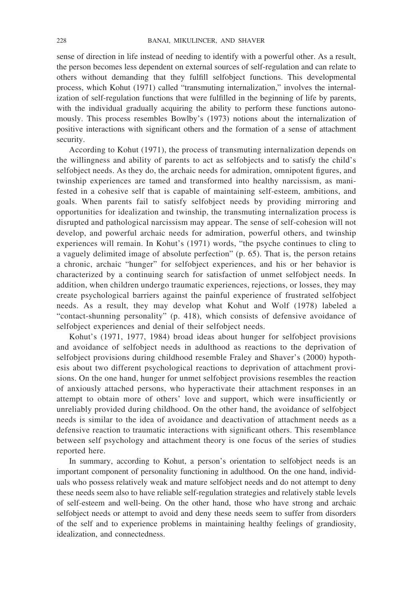sense of direction in life instead of needing to identify with a powerful other. As a result, the person becomes less dependent on external sources of self-regulation and can relate to others without demanding that they fulfill selfobject functions. This developmental process, which Kohut (1971) called "transmuting internalization," involves the internalization of self-regulation functions that were fulfilled in the beginning of life by parents, with the individual gradually acquiring the ability to perform these functions autonomously. This process resembles Bowlby's (1973) notions about the internalization of positive interactions with significant others and the formation of a sense of attachment security.

According to Kohut (1971), the process of transmuting internalization depends on the willingness and ability of parents to act as selfobjects and to satisfy the child's selfobject needs. As they do, the archaic needs for admiration, omnipotent figures, and twinship experiences are tamed and transformed into healthy narcissism, as manifested in a cohesive self that is capable of maintaining self-esteem, ambitions, and goals. When parents fail to satisfy selfobject needs by providing mirroring and opportunities for idealization and twinship, the transmuting internalization process is disrupted and pathological narcissism may appear. The sense of self-cohesion will not develop, and powerful archaic needs for admiration, powerful others, and twinship experiences will remain. In Kohut's (1971) words, "the psyche continues to cling to a vaguely delimited image of absolute perfection" (p. 65). That is, the person retains a chronic, archaic "hunger" for selfobject experiences, and his or her behavior is characterized by a continuing search for satisfaction of unmet selfobject needs. In addition, when children undergo traumatic experiences, rejections, or losses, they may create psychological barriers against the painful experience of frustrated selfobject needs. As a result, they may develop what Kohut and Wolf (1978) labeled a "contact-shunning personality" (p. 418), which consists of defensive avoidance of selfobject experiences and denial of their selfobject needs.

Kohut's (1971, 1977, 1984) broad ideas about hunger for selfobject provisions and avoidance of selfobject needs in adulthood as reactions to the deprivation of selfobject provisions during childhood resemble Fraley and Shaver's (2000) hypothesis about two different psychological reactions to deprivation of attachment provisions. On the one hand, hunger for unmet selfobject provisions resembles the reaction of anxiously attached persons, who hyperactivate their attachment responses in an attempt to obtain more of others' love and support, which were insufficiently or unreliably provided during childhood. On the other hand, the avoidance of selfobject needs is similar to the idea of avoidance and deactivation of attachment needs as a defensive reaction to traumatic interactions with significant others. This resemblance between self psychology and attachment theory is one focus of the series of studies reported here.

In summary, according to Kohut, a person's orientation to selfobject needs is an important component of personality functioning in adulthood. On the one hand, individuals who possess relatively weak and mature selfobject needs and do not attempt to deny these needs seem also to have reliable self-regulation strategies and relatively stable levels of self-esteem and well-being. On the other hand, those who have strong and archaic selfobject needs or attempt to avoid and deny these needs seem to suffer from disorders of the self and to experience problems in maintaining healthy feelings of grandiosity, idealization, and connectedness.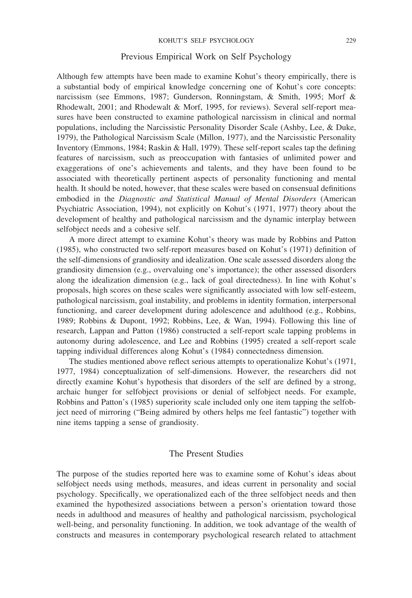## Previous Empirical Work on Self Psychology

Although few attempts have been made to examine Kohut's theory empirically, there is a substantial body of empirical knowledge concerning one of Kohut's core concepts: narcissism (see Emmons, 1987; Gunderson, Ronningstam, & Smith, 1995; Morf & Rhodewalt, 2001; and Rhodewalt & Morf, 1995, for reviews). Several self-report measures have been constructed to examine pathological narcissism in clinical and normal populations, including the Narcissistic Personality Disorder Scale (Ashby, Lee, & Duke, 1979), the Pathological Narcissism Scale (Millon, 1977), and the Narcissistic Personality Inventory (Emmons, 1984; Raskin & Hall, 1979). These self-report scales tap the defining features of narcissism, such as preoccupation with fantasies of unlimited power and exaggerations of one's achievements and talents, and they have been found to be associated with theoretically pertinent aspects of personality functioning and mental health. It should be noted, however, that these scales were based on consensual definitions embodied in the *Diagnostic and Statistical Manual of Mental Disorders* (American Psychiatric Association, 1994), not explicitly on Kohut's (1971, 1977) theory about the development of healthy and pathological narcissism and the dynamic interplay between selfobject needs and a cohesive self.

A more direct attempt to examine Kohut's theory was made by Robbins and Patton (1985), who constructed two self-report measures based on Kohut's (1971) definition of the self-dimensions of grandiosity and idealization. One scale assessed disorders along the grandiosity dimension (e.g., overvaluing one's importance); the other assessed disorders along the idealization dimension (e.g., lack of goal directedness). In line with Kohut's proposals, high scores on these scales were significantly associated with low self-esteem, pathological narcissism, goal instability, and problems in identity formation, interpersonal functioning, and career development during adolescence and adulthood (e.g., Robbins, 1989; Robbins & Dupont, 1992; Robbins, Lee, & Wan, 1994). Following this line of research, Lappan and Patton (1986) constructed a self-report scale tapping problems in autonomy during adolescence, and Lee and Robbins (1995) created a self-report scale tapping individual differences along Kohut's (1984) connectedness dimension.

The studies mentioned above reflect serious attempts to operationalize Kohut's (1971, 1977, 1984) conceptualization of self-dimensions. However, the researchers did not directly examine Kohut's hypothesis that disorders of the self are defined by a strong, archaic hunger for selfobject provisions or denial of selfobject needs. For example, Robbins and Patton's (1985) superiority scale included only one item tapping the selfobject need of mirroring ("Being admired by others helps me feel fantastic") together with nine items tapping a sense of grandiosity.

## The Present Studies

The purpose of the studies reported here was to examine some of Kohut's ideas about selfobject needs using methods, measures, and ideas current in personality and social psychology. Specifically, we operationalized each of the three selfobject needs and then examined the hypothesized associations between a person's orientation toward those needs in adulthood and measures of healthy and pathological narcissism, psychological well-being, and personality functioning. In addition, we took advantage of the wealth of constructs and measures in contemporary psychological research related to attachment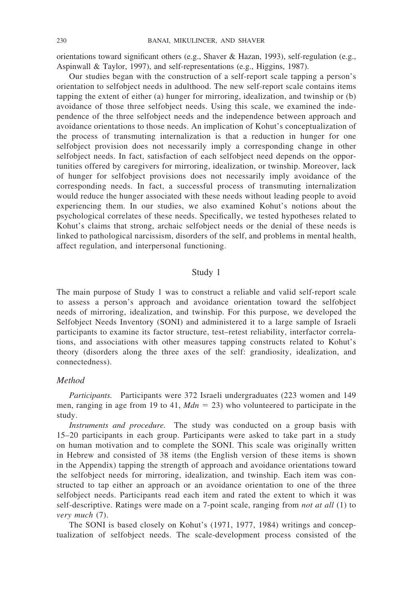orientations toward significant others (e.g., Shaver & Hazan, 1993), self-regulation (e.g., Aspinwall & Taylor, 1997), and self-representations (e.g., Higgins, 1987).

Our studies began with the construction of a self-report scale tapping a person's orientation to selfobject needs in adulthood. The new self-report scale contains items tapping the extent of either (a) hunger for mirroring, idealization, and twinship or (b) avoidance of those three selfobject needs. Using this scale, we examined the independence of the three selfobject needs and the independence between approach and avoidance orientations to those needs. An implication of Kohut's conceptualization of the process of transmuting internalization is that a reduction in hunger for one selfobject provision does not necessarily imply a corresponding change in other selfobject needs. In fact, satisfaction of each selfobject need depends on the opportunities offered by caregivers for mirroring, idealization, or twinship. Moreover, lack of hunger for selfobject provisions does not necessarily imply avoidance of the corresponding needs. In fact, a successful process of transmuting internalization would reduce the hunger associated with these needs without leading people to avoid experiencing them. In our studies, we also examined Kohut's notions about the psychological correlates of these needs. Specifically, we tested hypotheses related to Kohut's claims that strong, archaic selfobject needs or the denial of these needs is linked to pathological narcissism, disorders of the self, and problems in mental health, affect regulation, and interpersonal functioning.

## Study 1

The main purpose of Study 1 was to construct a reliable and valid self-report scale to assess a person's approach and avoidance orientation toward the selfobject needs of mirroring, idealization, and twinship. For this purpose, we developed the Selfobject Needs Inventory (SONI) and administered it to a large sample of Israeli participants to examine its factor structure, test–retest reliability, interfactor correlations, and associations with other measures tapping constructs related to Kohut's theory (disorders along the three axes of the self: grandiosity, idealization, and connectedness).

# *Method*

*Participants.* Participants were 372 Israeli undergraduates (223 women and 149 men, ranging in age from 19 to 41,  $Mdn = 23$ ) who volunteered to participate in the study.

*Instruments and procedure.* The study was conducted on a group basis with 15–20 participants in each group. Participants were asked to take part in a study on human motivation and to complete the SONI. This scale was originally written in Hebrew and consisted of 38 items (the English version of these items is shown in the Appendix) tapping the strength of approach and avoidance orientations toward the selfobject needs for mirroring, idealization, and twinship. Each item was constructed to tap either an approach or an avoidance orientation to one of the three selfobject needs. Participants read each item and rated the extent to which it was self-descriptive. Ratings were made on a 7-point scale, ranging from *not at all* (1) to *very much* (7).

The SONI is based closely on Kohut's (1971, 1977, 1984) writings and conceptualization of selfobject needs. The scale-development process consisted of the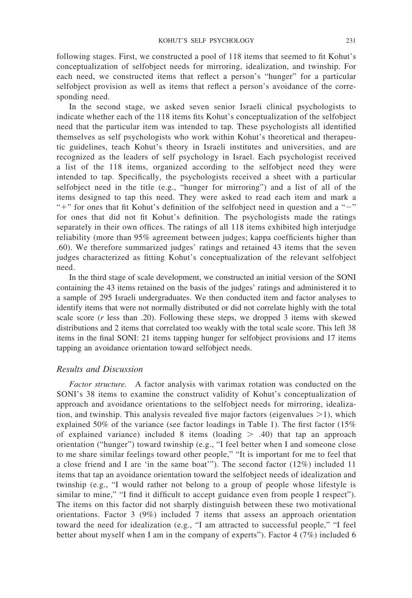following stages. First, we constructed a pool of 118 items that seemed to fit Kohut's conceptualization of selfobject needs for mirroring, idealization, and twinship. For each need, we constructed items that reflect a person's "hunger" for a particular selfobject provision as well as items that reflect a person's avoidance of the corresponding need.

In the second stage, we asked seven senior Israeli clinical psychologists to indicate whether each of the 118 items fits Kohut's conceptualization of the selfobject need that the particular item was intended to tap. These psychologists all identified themselves as self psychologists who work within Kohut's theoretical and therapeutic guidelines, teach Kohut's theory in Israeli institutes and universities, and are recognized as the leaders of self psychology in Israel. Each psychologist received a list of the 118 items, organized according to the selfobject need they were intended to tap. Specifically, the psychologists received a sheet with a particular selfobject need in the title (e.g., "hunger for mirroring") and a list of all of the items designed to tap this need. They were asked to read each item and mark a "<sup>+</sup>" for ones that fit Kohut's definition of the selfobject need in question and a " $-$ " for ones that did not fit Kohut's definition. The psychologists made the ratings separately in their own offices. The ratings of all 118 items exhibited high interjudge reliability (more than 95% agreement between judges; kappa coefficients higher than .60). We therefore summarized judges' ratings and retained 43 items that the seven judges characterized as fitting Kohut's conceptualization of the relevant selfobject need.

In the third stage of scale development, we constructed an initial version of the SONI containing the 43 items retained on the basis of the judges' ratings and administered it to a sample of 295 Israeli undergraduates. We then conducted item and factor analyses to identify items that were not normally distributed or did not correlate highly with the total scale score (*r* less than .20). Following these steps, we dropped 3 items with skewed distributions and 2 items that correlated too weakly with the total scale score. This left 38 items in the final SONI: 21 items tapping hunger for selfobject provisions and 17 items tapping an avoidance orientation toward selfobject needs.

## *Results and Discussion*

*Factor structure.* A factor analysis with varimax rotation was conducted on the SONI's 38 items to examine the construct validity of Kohut's conceptualization of approach and avoidance orientations to the selfobject needs for mirroring, idealization, and twinship. This analysis revealed five major factors (eigenvalues  $>1$ ), which explained 50% of the variance (see factor loadings in Table 1). The first factor (15% of explained variance) included 8 items (loading  $> .40$ ) that tap an approach orientation ("hunger") toward twinship (e.g., "I feel better when I and someone close to me share similar feelings toward other people," "It is important for me to feel that a close friend and I are 'in the same boat'"). The second factor (12%) included 11 items that tap an avoidance orientation toward the selfobject needs of idealization and twinship (e.g., "I would rather not belong to a group of people whose lifestyle is similar to mine," "I find it difficult to accept guidance even from people I respect"). The items on this factor did not sharply distinguish between these two motivational orientations. Factor 3 (9%) included 7 items that assess an approach orientation toward the need for idealization (e.g., "I am attracted to successful people," "I feel better about myself when I am in the company of experts"). Factor 4 (7%) included 6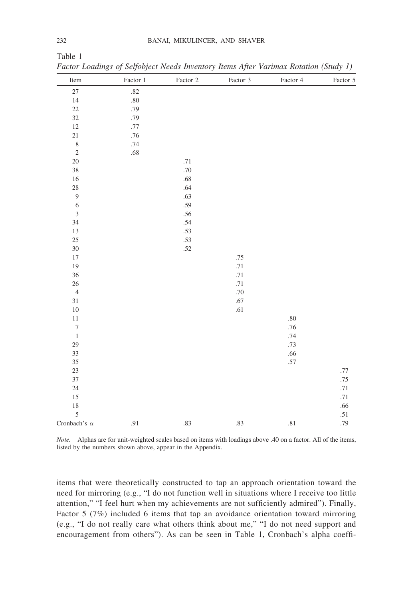| Item                | Factor 1 | Factor 2 | Factor 3 | Factor 4 | Factor 5 |
|---------------------|----------|----------|----------|----------|----------|
| $27\,$              | .82      |          |          |          |          |
| $14\,$              | $.80\,$  |          |          |          |          |
| $22\,$              | .79      |          |          |          |          |
| 32                  | .79      |          |          |          |          |
| $12\,$              | .77      |          |          |          |          |
| $21\,$              | .76      |          |          |          |          |
| $\,$ 8 $\,$         | .74      |          |          |          |          |
| $\sqrt{2}$          | .68      |          |          |          |          |
| $20\,$              |          | $.71\,$  |          |          |          |
| 38                  |          | .70      |          |          |          |
| 16                  |          | .68      |          |          |          |
| 28                  |          | .64      |          |          |          |
| $\overline{9}$      |          | .63      |          |          |          |
| $\overline{6}$      |          | .59      |          |          |          |
| $\overline{3}$      |          | .56      |          |          |          |
| 34                  |          | .54      |          |          |          |
| 13                  |          | .53      |          |          |          |
| $25\,$              |          | .53      |          |          |          |
| 30                  |          | .52      |          |          |          |
| $17\,$              |          |          | .75      |          |          |
| 19                  |          |          | .71      |          |          |
| 36                  |          |          | .71      |          |          |
| 26                  |          |          | .71      |          |          |
| $\overline{4}$      |          |          | .70      |          |          |
| $31\,$              |          |          | $.67\,$  |          |          |
| $10\,$              |          |          | .61      |          |          |
| 11                  |          |          |          | .80      |          |
| $\boldsymbol{7}$    |          |          |          | .76      |          |
| $\mathbf{1}$        |          |          |          | .74      |          |
| 29                  |          |          |          | .73      |          |
| 33                  |          |          |          | .66      |          |
| 35                  |          |          |          | $.57\,$  |          |
| 23                  |          |          |          |          | $.77\,$  |
| 37                  |          |          |          |          | .75      |
| 24                  |          |          |          |          | $.71\,$  |
| $15\,$              |          |          |          |          | $.71\,$  |
| $18\,$              |          |          |          |          | .66      |
| $\overline{5}$      |          |          |          |          | .51      |
| Cronbach's $\alpha$ | .91      | .83      | .83      | .81      | .79      |

*Factor Loadings of Selfobject Needs Inventory Items After Varimax Rotation (Study 1)*

*Note.* Alphas are for unit-weighted scales based on items with loadings above .40 on a factor. All of the items, listed by the numbers shown above, appear in the Appendix.

items that were theoretically constructed to tap an approach orientation toward the need for mirroring (e.g., "I do not function well in situations where I receive too little attention," "I feel hurt when my achievements are not sufficiently admired"). Finally, Factor 5 (7%) included 6 items that tap an avoidance orientation toward mirroring (e.g., "I do not really care what others think about me," "I do not need support and encouragement from others"). As can be seen in Table 1, Cronbach's alpha coeffi-

Table 1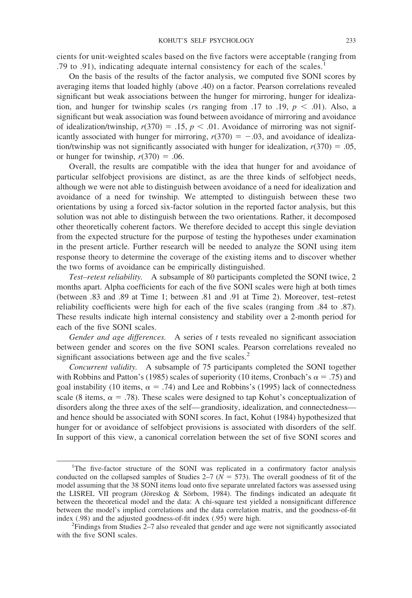cients for unit-weighted scales based on the five factors were acceptable (ranging from .79 to .91), indicating adequate internal consistency for each of the scales.<sup>1</sup>

On the basis of the results of the factor analysis, we computed five SONI scores by averaging items that loaded highly (above .40) on a factor. Pearson correlations revealed significant but weak associations between the hunger for mirroring, hunger for idealization, and hunger for twinship scales ( $rs$  ranging from .17 to .19,  $p \lt 0.01$ ). Also, a significant but weak association was found between avoidance of mirroring and avoidance of idealization/twinship,  $r(370) = .15$ ,  $p < .01$ . Avoidance of mirroring was not significantly associated with hunger for mirroring,  $r(370) = -.03$ , and avoidance of idealization/twinship was not significantly associated with hunger for idealization,  $r(370) = .05$ , or hunger for twinship,  $r(370) = .06$ .

Overall, the results are compatible with the idea that hunger for and avoidance of particular selfobject provisions are distinct, as are the three kinds of selfobject needs, although we were not able to distinguish between avoidance of a need for idealization and avoidance of a need for twinship. We attempted to distinguish between these two orientations by using a forced six-factor solution in the reported factor analysis, but this solution was not able to distinguish between the two orientations. Rather, it decomposed other theoretically coherent factors. We therefore decided to accept this single deviation from the expected structure for the purpose of testing the hypotheses under examination in the present article. Further research will be needed to analyze the SONI using item response theory to determine the coverage of the existing items and to discover whether the two forms of avoidance can be empirically distinguished.

*Test–retest reliability.* A subsample of 80 participants completed the SONI twice, 2 months apart. Alpha coefficients for each of the five SONI scales were high at both times (between .83 and .89 at Time 1; between .81 and .91 at Time 2). Moreover, test–retest reliability coefficients were high for each of the five scales (ranging from .84 to .87). These results indicate high internal consistency and stability over a 2-month period for each of the five SONI scales.

*Gender and age differences.* A series of *t* tests revealed no significant association between gender and scores on the five SONI scales. Pearson correlations revealed no significant associations between age and the five scales.<sup>2</sup>

*Concurrent validity.* A subsample of 75 participants completed the SONI together with Robbins and Patton's (1985) scales of superiority (10 items, Cronbach's  $\alpha = .75$ ) and goal instability (10 items,  $\alpha = .74$ ) and Lee and Robbins's (1995) lack of connectedness scale (8 items,  $\alpha = .78$ ). These scales were designed to tap Kohut's conceptualization of disorders along the three axes of the self—grandiosity, idealization, and connectedness and hence should be associated with SONI scores. In fact, Kohut (1984) hypothesized that hunger for or avoidance of selfobject provisions is associated with disorders of the self. In support of this view, a canonical correlation between the set of five SONI scores and

<sup>&</sup>lt;sup>1</sup>The five-factor structure of the SONI was replicated in a confirmatory factor analysis conducted on the collapsed samples of Studies  $2-7$  ( $N = 573$ ). The overall goodness of fit of the model assuming that the 38 SONI items load onto five separate unrelated factors was assessed using the LISREL VII program (Jöreskog & Sörbom, 1984). The findings indicated an adequate fit between the theoretical model and the data: A chi-square test yielded a nonsignificant difference between the model's implied correlations and the data correlation matrix, and the goodness-of-fit index (.98) and the adjusted goodness-of-fit index (.95) were high. <sup>2</sup>

<sup>&</sup>lt;sup>2</sup>Findings from Studies 2–7 also revealed that gender and age were not significantly associated with the five SONI scales.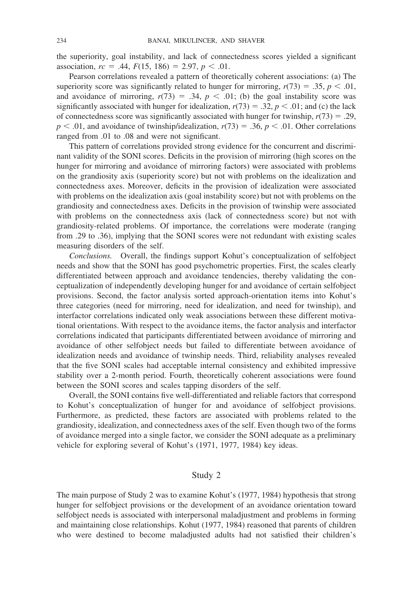the superiority, goal instability, and lack of connectedness scores yielded a significant association,  $rc = .44$ ,  $F(15, 186) = 2.97$ ,  $p < .01$ .

Pearson correlations revealed a pattern of theoretically coherent associations: (a) The superiority score was significantly related to hunger for mirroring,  $r(73) = .35$ ,  $p < .01$ , and avoidance of mirroring,  $r(73) = .34$ ,  $p < .01$ ; (b) the goal instability score was significantly associated with hunger for idealization,  $r(73) = .32$ ,  $p < .01$ ; and (c) the lack of connectedness score was significantly associated with hunger for twinship,  $r(73) = .29$ ,  $p < .01$ , and avoidance of twinship/idealization,  $r(73) = .36$ ,  $p < .01$ . Other correlations ranged from .01 to .08 and were not significant.

This pattern of correlations provided strong evidence for the concurrent and discriminant validity of the SONI scores. Deficits in the provision of mirroring (high scores on the hunger for mirroring and avoidance of mirroring factors) were associated with problems on the grandiosity axis (superiority score) but not with problems on the idealization and connectedness axes. Moreover, deficits in the provision of idealization were associated with problems on the idealization axis (goal instability score) but not with problems on the grandiosity and connectedness axes. Deficits in the provision of twinship were associated with problems on the connectedness axis (lack of connectedness score) but not with grandiosity-related problems. Of importance, the correlations were moderate (ranging from .29 to .36), implying that the SONI scores were not redundant with existing scales measuring disorders of the self.

*Conclusions.* Overall, the findings support Kohut's conceptualization of selfobject needs and show that the SONI has good psychometric properties. First, the scales clearly differentiated between approach and avoidance tendencies, thereby validating the conceptualization of independently developing hunger for and avoidance of certain selfobject provisions. Second, the factor analysis sorted approach-orientation items into Kohut's three categories (need for mirroring, need for idealization, and need for twinship), and interfactor correlations indicated only weak associations between these different motivational orientations. With respect to the avoidance items, the factor analysis and interfactor correlations indicated that participants differentiated between avoidance of mirroring and avoidance of other selfobject needs but failed to differentiate between avoidance of idealization needs and avoidance of twinship needs. Third, reliability analyses revealed that the five SONI scales had acceptable internal consistency and exhibited impressive stability over a 2-month period. Fourth, theoretically coherent associations were found between the SONI scores and scales tapping disorders of the self.

Overall, the SONI contains five well-differentiated and reliable factors that correspond to Kohut's conceptualization of hunger for and avoidance of selfobject provisions. Furthermore, as predicted, these factors are associated with problems related to the grandiosity, idealization, and connectedness axes of the self. Even though two of the forms of avoidance merged into a single factor, we consider the SONI adequate as a preliminary vehicle for exploring several of Kohut's (1971, 1977, 1984) key ideas.

## Study 2

The main purpose of Study 2 was to examine Kohut's (1977, 1984) hypothesis that strong hunger for selfobject provisions or the development of an avoidance orientation toward selfobject needs is associated with interpersonal maladjustment and problems in forming and maintaining close relationships. Kohut (1977, 1984) reasoned that parents of children who were destined to become maladjusted adults had not satisfied their children's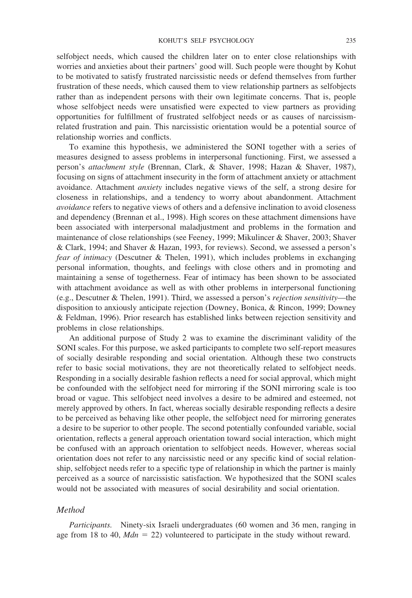selfobject needs, which caused the children later on to enter close relationships with worries and anxieties about their partners' good will. Such people were thought by Kohut to be motivated to satisfy frustrated narcissistic needs or defend themselves from further frustration of these needs, which caused them to view relationship partners as selfobjects rather than as independent persons with their own legitimate concerns. That is, people whose selfobject needs were unsatisfied were expected to view partners as providing opportunities for fulfillment of frustrated selfobject needs or as causes of narcissismrelated frustration and pain. This narcissistic orientation would be a potential source of relationship worries and conflicts.

To examine this hypothesis, we administered the SONI together with a series of measures designed to assess problems in interpersonal functioning. First, we assessed a person's *attachment style* (Brennan, Clark, & Shaver, 1998; Hazan & Shaver, 1987), focusing on signs of attachment insecurity in the form of attachment anxiety or attachment avoidance. Attachment *anxiety* includes negative views of the self, a strong desire for closeness in relationships, and a tendency to worry about abandonment. Attachment *avoidance* refers to negative views of others and a defensive inclination to avoid closeness and dependency (Brennan et al., 1998). High scores on these attachment dimensions have been associated with interpersonal maladjustment and problems in the formation and maintenance of close relationships (see Feeney, 1999; Mikulincer & Shaver, 2003; Shaver & Clark, 1994; and Shaver & Hazan, 1993, for reviews). Second, we assessed a person's *fear of intimacy* (Descutner & Thelen, 1991), which includes problems in exchanging personal information, thoughts, and feelings with close others and in promoting and maintaining a sense of togetherness. Fear of intimacy has been shown to be associated with attachment avoidance as well as with other problems in interpersonal functioning (e.g., Descutner & Thelen, 1991). Third, we assessed a person's *rejection sensitivity*—the disposition to anxiously anticipate rejection (Downey, Bonica, & Rincon, 1999; Downey & Feldman, 1996). Prior research has established links between rejection sensitivity and problems in close relationships.

An additional purpose of Study 2 was to examine the discriminant validity of the SONI scales. For this purpose, we asked participants to complete two self-report measures of socially desirable responding and social orientation. Although these two constructs refer to basic social motivations, they are not theoretically related to selfobject needs. Responding in a socially desirable fashion reflects a need for social approval, which might be confounded with the selfobject need for mirroring if the SONI mirroring scale is too broad or vague. This selfobject need involves a desire to be admired and esteemed, not merely approved by others. In fact, whereas socially desirable responding reflects a desire to be perceived as behaving like other people, the selfobject need for mirroring generates a desire to be superior to other people. The second potentially confounded variable, social orientation, reflects a general approach orientation toward social interaction, which might be confused with an approach orientation to selfobject needs. However, whereas social orientation does not refer to any narcissistic need or any specific kind of social relationship, selfobject needs refer to a specific type of relationship in which the partner is mainly perceived as a source of narcissistic satisfaction. We hypothesized that the SONI scales would not be associated with measures of social desirability and social orientation.

## *Method*

*Participants.* Ninety-six Israeli undergraduates (60 women and 36 men, ranging in age from 18 to 40,  $Mdn = 22$ ) volunteered to participate in the study without reward.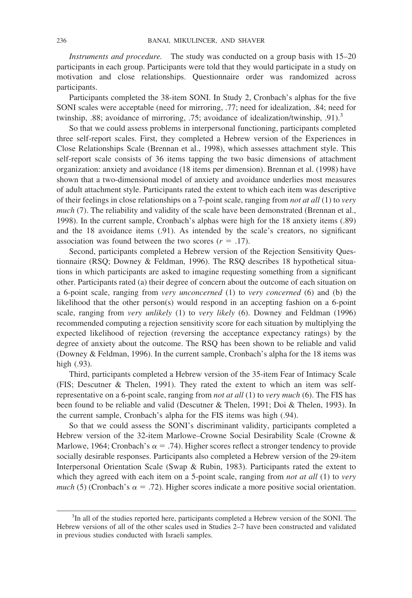*Instruments and procedure.* The study was conducted on a group basis with 15–20 participants in each group. Participants were told that they would participate in a study on motivation and close relationships. Questionnaire order was randomized across participants.

Participants completed the 38-item SONI. In Study 2, Cronbach's alphas for the five SONI scales were acceptable (need for mirroring, .77; need for idealization, .84; need for twinship, .88; avoidance of mirroring, .75; avoidance of idealization/twinship, .91).<sup>3</sup>

So that we could assess problems in interpersonal functioning, participants completed three self-report scales. First, they completed a Hebrew version of the Experiences in Close Relationships Scale (Brennan et al., 1998), which assesses attachment style. This self-report scale consists of 36 items tapping the two basic dimensions of attachment organization: anxiety and avoidance (18 items per dimension). Brennan et al. (1998) have shown that a two-dimensional model of anxiety and avoidance underlies most measures of adult attachment style. Participants rated the extent to which each item was descriptive of their feelings in close relationships on a 7-point scale, ranging from *not at all* (1) to *very much* (7). The reliability and validity of the scale have been demonstrated (Brennan et al., 1998). In the current sample, Cronbach's alphas were high for the 18 anxiety items (.89) and the 18 avoidance items (.91). As intended by the scale's creators, no significant association was found between the two scores  $(r = .17)$ .

Second, participants completed a Hebrew version of the Rejection Sensitivity Questionnaire (RSQ; Downey & Feldman, 1996). The RSQ describes 18 hypothetical situations in which participants are asked to imagine requesting something from a significant other. Participants rated (a) their degree of concern about the outcome of each situation on a 6-point scale, ranging from *very unconcerned* (1) to *very concerned* (6) and (b) the likelihood that the other person(s) would respond in an accepting fashion on a 6-point scale, ranging from *very unlikely* (1) to *very likely* (6). Downey and Feldman (1996) recommended computing a rejection sensitivity score for each situation by multiplying the expected likelihood of rejection (reversing the acceptance expectancy ratings) by the degree of anxiety about the outcome. The RSQ has been shown to be reliable and valid (Downey & Feldman, 1996). In the current sample, Cronbach's alpha for the 18 items was high (.93).

Third, participants completed a Hebrew version of the 35-item Fear of Intimacy Scale (FIS; Descutner & Thelen, 1991). They rated the extent to which an item was selfrepresentative on a 6-point scale, ranging from *not at all* (1) to *very much* (6). The FIS has been found to be reliable and valid (Descutner & Thelen, 1991; Doi & Thelen, 1993). In the current sample, Cronbach's alpha for the FIS items was high (.94).

So that we could assess the SONI's discriminant validity, participants completed a Hebrew version of the 32-item Marlowe–Crowne Social Desirability Scale (Crowne & Marlowe, 1964; Cronbach's  $\alpha = .74$ ). Higher scores reflect a stronger tendency to provide socially desirable responses. Participants also completed a Hebrew version of the 29-item Interpersonal Orientation Scale (Swap & Rubin, 1983). Participants rated the extent to which they agreed with each item on a 5-point scale, ranging from *not at all* (1) to *very much* (5) (Cronbach's  $\alpha$  = .72). Higher scores indicate a more positive social orientation.

<sup>&</sup>lt;sup>3</sup>In all of the studies reported here, participants completed a Hebrew version of the SONI. The Hebrew versions of all of the other scales used in Studies 2–7 have been constructed and validated in previous studies conducted with Israeli samples.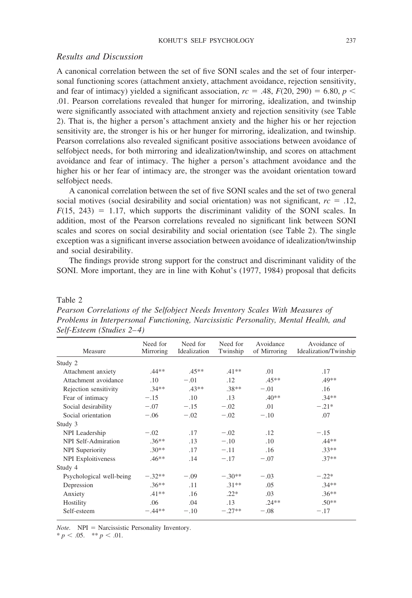# *Results and Discussion*

A canonical correlation between the set of five SONI scales and the set of four interpersonal functioning scores (attachment anxiety, attachment avoidance, rejection sensitivity, and fear of intimacy) yielded a significant association,  $rc = .48$ ,  $F(20, 290) = 6.80$ ,  $p <$ .01. Pearson correlations revealed that hunger for mirroring, idealization, and twinship were significantly associated with attachment anxiety and rejection sensitivity (see Table 2). That is, the higher a person's attachment anxiety and the higher his or her rejection sensitivity are, the stronger is his or her hunger for mirroring, idealization, and twinship. Pearson correlations also revealed significant positive associations between avoidance of selfobject needs, for both mirroring and idealization/twinship, and scores on attachment avoidance and fear of intimacy. The higher a person's attachment avoidance and the higher his or her fear of intimacy are, the stronger was the avoidant orientation toward selfobject needs.

A canonical correlation between the set of five SONI scales and the set of two general social motives (social desirability and social orientation) was not significant,  $rc = .12$ ,  $F(15, 243) = 1.17$ , which supports the discriminant validity of the SONI scales. In addition, most of the Pearson correlations revealed no significant link between SONI scales and scores on social desirability and social orientation (see Table 2). The single exception was a significant inverse association between avoidance of idealization/twinship and social desirability.

The findings provide strong support for the construct and discriminant validity of the SONI. More important, they are in line with Kohut's (1977, 1984) proposal that deficits

#### Table 2

| Measure                  | Need for<br>Mirroring | Need for<br>Idealization | Need for<br>Twinship | Avoidance<br>of Mirroring | Avoidance of<br>Idealization/Twinship |
|--------------------------|-----------------------|--------------------------|----------------------|---------------------------|---------------------------------------|
| Study 2                  |                       |                          |                      |                           |                                       |
| Attachment anxiety       | $.44**$               | $.45**$                  | $.41**$              | .01                       | .17                                   |
| Attachment avoidance     | .10                   | $-.01$                   | .12                  | $.45**$                   | $.49**$                               |
| Rejection sensitivity    | $.34***$              | $.43**$                  | $.38**$              | $-.01$                    | .16                                   |
| Fear of intimacy         | $-.15$                | .10                      | .13                  | $.40**$                   | $.34**$                               |
| Social desirability      | $-.07$                | $-.15$                   | $-.02$               | .01                       | $-.21*$                               |
| Social orientation       | $-.06$                | $-.02$                   | $-.02$               | $-.10$                    | .07                                   |
| Study 3                  |                       |                          |                      |                           |                                       |
| NPI Leadership           | $-.02$                | .17                      | $-.02$               | .12                       | $-.15$                                |
| NPI Self-Admiration      | $.36**$               | .13                      | $-.10$               | .10                       | $.44**$                               |
| NPI Superiority          | $.30**$               | .17                      | $-.11$               | .16                       | $.33**$                               |
| NPI Exploitiveness       | $.46**$               | .14                      | $-.17$               | $-.07$                    | $.37**$                               |
| Study 4                  |                       |                          |                      |                           |                                       |
| Psychological well-being | $-.32**$              | $-.09$                   | $-.30**$             | $-.03$                    | $-.22*$                               |
| Depression               | $.36**$               | .11                      | $.31**$              | .05                       | $.34**$                               |
| Anxiety                  | $.41**$               | .16                      | $.22*$               | .03                       | $.36**$                               |
| Hostility                | .06                   | .04                      | .13                  | $.24**$                   | $.50**$                               |
| Self-esteem              | $-.44**$              | $-.10$                   | $-.27**$             | $-.08$                    | $-.17$                                |
|                          |                       |                          |                      |                           |                                       |

*Pearson Correlations of the Selfobject Needs Inventory Scales With Measures of Problems in Interpersonal Functioning, Narcissistic Personality, Mental Health, and Self-Esteem (Studies 2–4)*

*Note.*  $NPI = Narcissistic $Personality$  Inventory.$ 

 $* p < .05.$  \*\*  $p < .01.$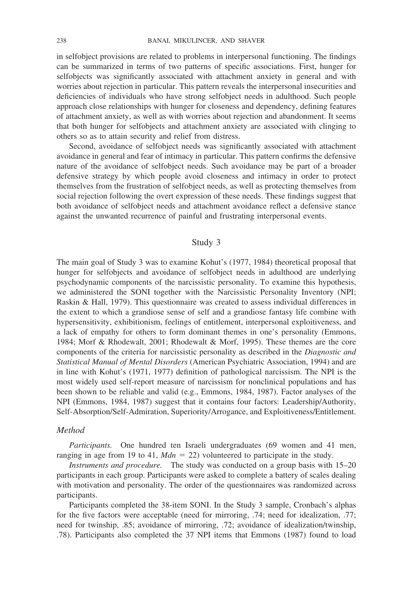in selfobject provisions are related to problems in interpersonal functioning. The findings can be summarized in terms of two patterns of specific associations. First, hunger for selfobjects was significantly associated with attachment anxiety in general and with worries about rejection in particular. This pattern reveals the interpersonal insecurities and deficiencies of individuals who have strong selfobject needs in adulthood. Such people approach close relationships with hunger for closeness and dependency, defining features of attachment anxiety, as well as with worries about rejection and abandonment. It seems that both hunger for selfobjects and attachment anxiety are associated with clinging to others so as to attain security and relief from distress.

Second, avoidance of selfobject needs was significantly associated with attachment avoidance in general and fear of intimacy in particular. This pattern confirms the defensive nature of the avoidance of selfobject needs. Such avoidance may be part of a broader defensive strategy by which people avoid closeness and intimacy in order to protect themselves from the frustration of selfobject needs, as well as protecting themselves from social rejection following the overt expression of these needs. These findings suggest that both avoidance of selfobject needs and attachment avoidance reflect a defensive stance against the unwanted recurrence of painful and frustrating interpersonal events.

# Study 3

The main goal of Study 3 was to examine Kohut's (1977, 1984) theoretical proposal that hunger for selfobjects and avoidance of selfobject needs in adulthood are underlying psychodynamic components of the narcissistic personality. To examine this hypothesis, we administered the SONI together with the Narcissistic Personality Inventory (NPI; Raskin & Hall, 1979). This questionnaire was created to assess individual differences in the extent to which a grandiose sense of self and a grandiose fantasy life combine with hypersensitivity, exhibitionism, feelings of entitlement, interpersonal exploitiveness, and a lack of empathy for others to form dominant themes in one's personality (Emmons, 1984; Morf & Rhodewalt, 2001; Rhodewalt & Morf, 1995). These themes are the core components of the criteria for narcissistic personality as described in the *Diagnostic and Statistical Manual of Mental Disorders* (American Psychiatric Association, 1994) and are in line with Kohut's (1971, 1977) definition of pathological narcissism. The NPI is the most widely used self-report measure of narcissism for nonclinical populations and has been shown to be reliable and valid (e.g., Emmons, 1984, 1987). Factor analyses of the NPI (Emmons, 1984, 1987) suggest that it contains four factors: Leadership/Authority, Self-Absorption/Self-Admiration, Superiority/Arrogance, and Exploitiveness/Entitlement.

#### *Method*

*Participants.* One hundred ten Israeli undergraduates (69 women and 41 men, ranging in age from 19 to 41,  $Mdn = 22$ ) volunteered to participate in the study.

*Instruments and procedure.* The study was conducted on a group basis with 15–20 participants in each group. Participants were asked to complete a battery of scales dealing with motivation and personality. The order of the questionnaires was randomized across participants.

Participants completed the 38-item SONI. In the Study 3 sample, Cronbach's alphas for the five factors were acceptable (need for mirroring, .74; need for idealization, .77; need for twinship, .85; avoidance of mirroring, .72; avoidance of idealization/twinship, .78). Participants also completed the 37 NPI items that Emmons (1987) found to load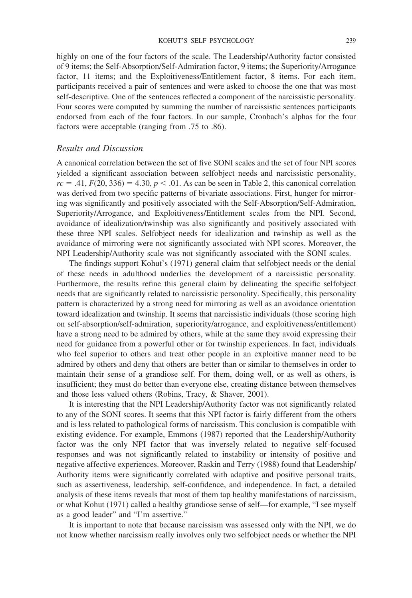highly on one of the four factors of the scale. The Leadership/Authority factor consisted of 9 items; the Self-Absorption/Self-Admiration factor, 9 items; the Superiority/Arrogance factor, 11 items; and the Exploitiveness/Entitlement factor, 8 items. For each item, participants received a pair of sentences and were asked to choose the one that was most self-descriptive. One of the sentences reflected a component of the narcissistic personality. Four scores were computed by summing the number of narcissistic sentences participants endorsed from each of the four factors. In our sample, Cronbach's alphas for the four factors were acceptable (ranging from .75 to .86).

# *Results and Discussion*

A canonical correlation between the set of five SONI scales and the set of four NPI scores yielded a significant association between selfobject needs and narcissistic personality,  $rc = .41, F(20, 336) = 4.30, p < .01$ . As can be seen in Table 2, this canonical correlation was derived from two specific patterns of bivariate associations. First, hunger for mirroring was significantly and positively associated with the Self-Absorption/Self-Admiration, Superiority/Arrogance, and Exploitiveness/Entitlement scales from the NPI. Second, avoidance of idealization/twinship was also significantly and positively associated with these three NPI scales. Selfobject needs for idealization and twinship as well as the avoidance of mirroring were not significantly associated with NPI scores. Moreover, the NPI Leadership/Authority scale was not significantly associated with the SONI scales.

The findings support Kohut's (1971) general claim that selfobject needs or the denial of these needs in adulthood underlies the development of a narcissistic personality. Furthermore, the results refine this general claim by delineating the specific selfobject needs that are significantly related to narcissistic personality. Specifically, this personality pattern is characterized by a strong need for mirroring as well as an avoidance orientation toward idealization and twinship. It seems that narcissistic individuals (those scoring high on self-absorption/self-admiration, superiority/arrogance, and exploitiveness/entitlement) have a strong need to be admired by others, while at the same they avoid expressing their need for guidance from a powerful other or for twinship experiences. In fact, individuals who feel superior to others and treat other people in an exploitive manner need to be admired by others and deny that others are better than or similar to themselves in order to maintain their sense of a grandiose self. For them, doing well, or as well as others, is insufficient; they must do better than everyone else, creating distance between themselves and those less valued others (Robins, Tracy, & Shaver, 2001).

It is interesting that the NPI Leadership/Authority factor was not significantly related to any of the SONI scores. It seems that this NPI factor is fairly different from the others and is less related to pathological forms of narcissism. This conclusion is compatible with existing evidence. For example, Emmons (1987) reported that the Leadership/Authority factor was the only NPI factor that was inversely related to negative self-focused responses and was not significantly related to instability or intensity of positive and negative affective experiences. Moreover, Raskin and Terry (1988) found that Leadership/ Authority items were significantly correlated with adaptive and positive personal traits, such as assertiveness, leadership, self-confidence, and independence. In fact, a detailed analysis of these items reveals that most of them tap healthy manifestations of narcissism, or what Kohut (1971) called a healthy grandiose sense of self—for example, "I see myself as a good leader" and "I'm assertive."

It is important to note that because narcissism was assessed only with the NPI, we do not know whether narcissism really involves only two selfobject needs or whether the NPI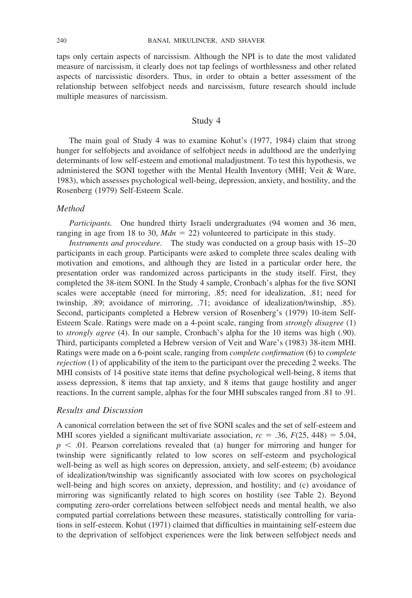taps only certain aspects of narcissism. Although the NPI is to date the most validated measure of narcissism, it clearly does not tap feelings of worthlessness and other related aspects of narcissistic disorders. Thus, in order to obtain a better assessment of the relationship between selfobject needs and narcissism, future research should include multiple measures of narcissism.

## Study 4

The main goal of Study 4 was to examine Kohut's (1977, 1984) claim that strong hunger for selfobjects and avoidance of selfobject needs in adulthood are the underlying determinants of low self-esteem and emotional maladjustment. To test this hypothesis, we administered the SONI together with the Mental Health Inventory (MHI; Veit & Ware, 1983), which assesses psychological well-being, depression, anxiety, and hostility, and the Rosenberg (1979) Self-Esteem Scale.

## *Method*

*Participants.* One hundred thirty Israeli undergraduates (94 women and 36 men, ranging in age from 18 to 30,  $Mdn = 22$ ) volunteered to participate in this study.

*Instruments and procedure.* The study was conducted on a group basis with 15–20 participants in each group. Participants were asked to complete three scales dealing with motivation and emotions, and although they are listed in a particular order here, the presentation order was randomized across participants in the study itself. First, they completed the 38-item SONI. In the Study 4 sample, Cronbach's alphas for the five SONI scales were acceptable (need for mirroring, .85; need for idealization, .81; need for twinship, .89; avoidance of mirroring, .71; avoidance of idealization/twinship, .85). Second, participants completed a Hebrew version of Rosenberg's (1979) 10-item Self-Esteem Scale. Ratings were made on a 4-point scale, ranging from *strongly disagree* (1) to *strongly agree* (4). In our sample, Cronbach's alpha for the 10 items was high (.90). Third, participants completed a Hebrew version of Veit and Ware's (1983) 38-item MHI. Ratings were made on a 6-point scale, ranging from *complete confirmation* (6) to *complete rejection* (1) of applicability of the item to the participant over the preceding 2 weeks. The MHI consists of 14 positive state items that define psychological well-being, 8 items that assess depression, 8 items that tap anxiety, and 8 items that gauge hostility and anger reactions. In the current sample, alphas for the four MHI subscales ranged from .81 to .91.

#### *Results and Discussion*

A canonical correlation between the set of five SONI scales and the set of self-esteem and MHI scores yielded a significant multivariate association,  $rc = .36$ ,  $F(25, 448) = 5.04$ ,  $p < .01$ . Pearson correlations revealed that (a) hunger for mirroring and hunger for twinship were significantly related to low scores on self-esteem and psychological well-being as well as high scores on depression, anxiety, and self-esteem; (b) avoidance of idealization/twinship was significantly associated with low scores on psychological well-being and high scores on anxiety, depression, and hostility; and (c) avoidance of mirroring was significantly related to high scores on hostility (see Table 2). Beyond computing zero-order correlations between selfobject needs and mental health, we also computed partial correlations between these measures, statistically controlling for variations in self-esteem. Kohut (1971) claimed that difficulties in maintaining self-esteem due to the deprivation of selfobject experiences were the link between selfobject needs and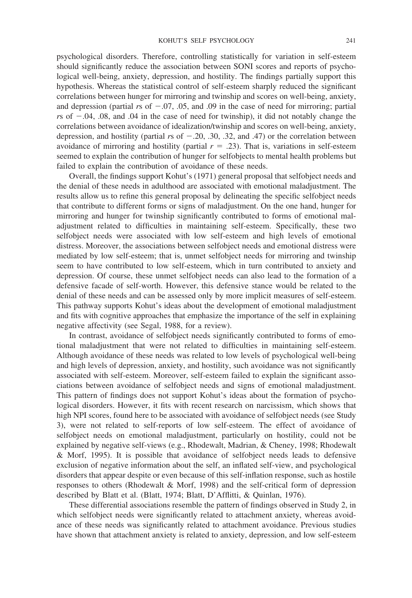psychological disorders. Therefore, controlling statistically for variation in self-esteem should significantly reduce the association between SONI scores and reports of psychological well-being, anxiety, depression, and hostility. The findings partially support this hypothesis. Whereas the statistical control of self-esteem sharply reduced the significant correlations between hunger for mirroring and twinship and scores on well-being, anxiety, and depression (partial  $rs$  of  $-.07, .05,$  and  $.09$  in the case of need for mirroring; partial  $r s$  of  $-.04$ ,  $.08$ , and  $.04$  in the case of need for twinship), it did not notably change the correlations between avoidance of idealization/twinship and scores on well-being, anxiety, depression, and hostility (partial  $rs$  of  $-.20, .30, .32,$  and .47) or the correlation between avoidance of mirroring and hostility (partial  $r = .23$ ). That is, variations in self-esteem seemed to explain the contribution of hunger for selfobjects to mental health problems but failed to explain the contribution of avoidance of these needs.

Overall, the findings support Kohut's (1971) general proposal that selfobject needs and the denial of these needs in adulthood are associated with emotional maladjustment. The results allow us to refine this general proposal by delineating the specific selfobject needs that contribute to different forms or signs of maladjustment. On the one hand, hunger for mirroring and hunger for twinship significantly contributed to forms of emotional maladjustment related to difficulties in maintaining self-esteem. Specifically, these two selfobject needs were associated with low self-esteem and high levels of emotional distress. Moreover, the associations between selfobject needs and emotional distress were mediated by low self-esteem; that is, unmet selfobject needs for mirroring and twinship seem to have contributed to low self-esteem, which in turn contributed to anxiety and depression. Of course, these unmet selfobject needs can also lead to the formation of a defensive facade of self-worth. However, this defensive stance would be related to the denial of these needs and can be assessed only by more implicit measures of self-esteem. This pathway supports Kohut's ideas about the development of emotional maladjustment and fits with cognitive approaches that emphasize the importance of the self in explaining negative affectivity (see Segal, 1988, for a review).

In contrast, avoidance of selfobject needs significantly contributed to forms of emotional maladjustment that were not related to difficulties in maintaining self-esteem. Although avoidance of these needs was related to low levels of psychological well-being and high levels of depression, anxiety, and hostility, such avoidance was not significantly associated with self-esteem. Moreover, self-esteem failed to explain the significant associations between avoidance of selfobject needs and signs of emotional maladjustment. This pattern of findings does not support Kohut's ideas about the formation of psychological disorders. However, it fits with recent research on narcissism, which shows that high NPI scores, found here to be associated with avoidance of selfobject needs (see Study 3), were not related to self-reports of low self-esteem. The effect of avoidance of selfobject needs on emotional maladjustment, particularly on hostility, could not be explained by negative self-views (e.g., Rhodewalt, Madrian, & Cheney, 1998; Rhodewalt & Morf, 1995). It is possible that avoidance of selfobject needs leads to defensive exclusion of negative information about the self, an inflated self-view, and psychological disorders that appear despite or even because of this self-inflation response, such as hostile responses to others (Rhodewalt & Morf, 1998) and the self-critical form of depression described by Blatt et al. (Blatt, 1974; Blatt, D'Afflitti, & Quinlan, 1976).

These differential associations resemble the pattern of findings observed in Study 2, in which selfobject needs were significantly related to attachment anxiety, whereas avoidance of these needs was significantly related to attachment avoidance. Previous studies have shown that attachment anxiety is related to anxiety, depression, and low self-esteem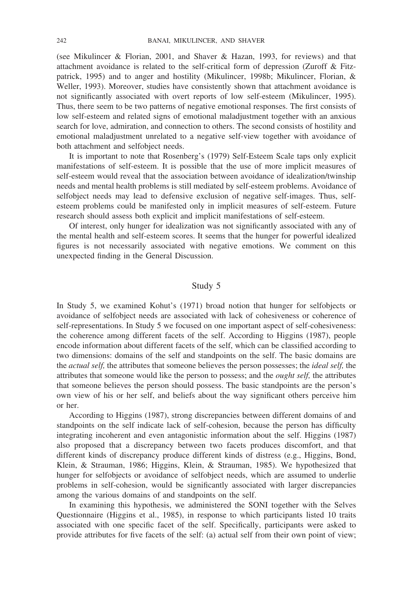(see Mikulincer & Florian, 2001, and Shaver & Hazan, 1993, for reviews) and that attachment avoidance is related to the self-critical form of depression (Zuroff & Fitzpatrick, 1995) and to anger and hostility (Mikulincer, 1998b; Mikulincer, Florian, & Weller, 1993). Moreover, studies have consistently shown that attachment avoidance is not significantly associated with overt reports of low self-esteem (Mikulincer, 1995). Thus, there seem to be two patterns of negative emotional responses. The first consists of low self-esteem and related signs of emotional maladjustment together with an anxious search for love, admiration, and connection to others. The second consists of hostility and emotional maladjustment unrelated to a negative self-view together with avoidance of both attachment and selfobject needs.

It is important to note that Rosenberg's (1979) Self-Esteem Scale taps only explicit manifestations of self-esteem. It is possible that the use of more implicit measures of self-esteem would reveal that the association between avoidance of idealization/twinship needs and mental health problems is still mediated by self-esteem problems. Avoidance of selfobject needs may lead to defensive exclusion of negative self-images. Thus, selfesteem problems could be manifested only in implicit measures of self-esteem. Future research should assess both explicit and implicit manifestations of self-esteem.

Of interest, only hunger for idealization was not significantly associated with any of the mental health and self-esteem scores. It seems that the hunger for powerful idealized figures is not necessarily associated with negative emotions. We comment on this unexpected finding in the General Discussion.

# Study 5

In Study 5, we examined Kohut's (1971) broad notion that hunger for selfobjects or avoidance of selfobject needs are associated with lack of cohesiveness or coherence of self-representations. In Study 5 we focused on one important aspect of self-cohesiveness: the coherence among different facets of the self. According to Higgins (1987), people encode information about different facets of the self, which can be classified according to two dimensions: domains of the self and standpoints on the self. The basic domains are the *actual self,* the attributes that someone believes the person possesses; the *ideal self,* the attributes that someone would like the person to possess; and the *ought self,* the attributes that someone believes the person should possess. The basic standpoints are the person's own view of his or her self, and beliefs about the way significant others perceive him or her.

According to Higgins (1987), strong discrepancies between different domains of and standpoints on the self indicate lack of self-cohesion, because the person has difficulty integrating incoherent and even antagonistic information about the self. Higgins (1987) also proposed that a discrepancy between two facets produces discomfort, and that different kinds of discrepancy produce different kinds of distress (e.g., Higgins, Bond, Klein, & Strauman, 1986; Higgins, Klein, & Strauman, 1985). We hypothesized that hunger for selfobjects or avoidance of selfobject needs, which are assumed to underlie problems in self-cohesion, would be significantly associated with larger discrepancies among the various domains of and standpoints on the self.

In examining this hypothesis, we administered the SONI together with the Selves Questionnaire (Higgins et al., 1985), in response to which participants listed 10 traits associated with one specific facet of the self. Specifically, participants were asked to provide attributes for five facets of the self: (a) actual self from their own point of view;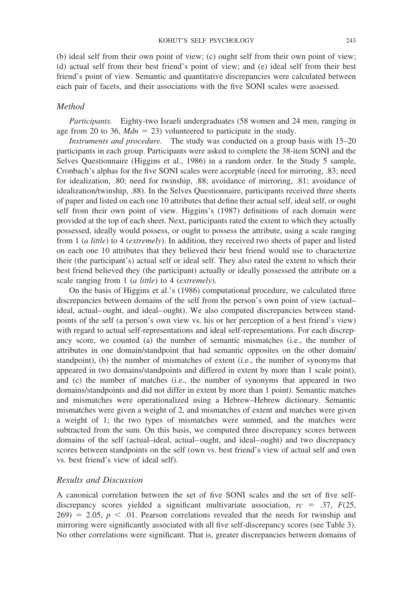(b) ideal self from their own point of view; (c) ought self from their own point of view; (d) actual self from their best friend's point of view; and (e) ideal self from their best friend's point of view. Semantic and quantitative discrepancies were calculated between each pair of facets, and their associations with the five SONI scales were assessed.

# *Method*

*Participants.* Eighty-two Israeli undergraduates (58 women and 24 men, ranging in age from 20 to 36,  $Mdn = 23$ ) volunteered to participate in the study.

*Instruments and procedure.* The study was conducted on a group basis with 15–20 participants in each group. Participants were asked to complete the 38-item SONI and the Selves Questionnaire (Higgins et al., 1986) in a random order. In the Study 5 sample, Cronbach's alphas for the five SONI scales were acceptable (need for mirroring, .83; need for idealization, .80; need for twinship, .88; avoidance of mirroring, .81; avoidance of idealization/twinship, .88). In the Selves Questionnaire, participants received three sheets of paper and listed on each one 10 attributes that define their actual self, ideal self, or ought self from their own point of view. Higgins's (1987) definitions of each domain were provided at the top of each sheet. Next, participants rated the extent to which they actually possessed, ideally would possess, or ought to possess the attribute, using a scale ranging from 1 (*a little*) to 4 (*extremely*). In addition, they received two sheets of paper and listed on each one 10 attributes that they believed their best friend would use to characterize their (the participant's) actual self or ideal self. They also rated the extent to which their best friend believed they (the participant) actually or ideally possessed the attribute on a scale ranging from 1 (*a little*) to 4 (*extremely*).

On the basis of Higgins et al.'s (1986) computational procedure, we calculated three discrepancies between domains of the self from the person's own point of view (actual– ideal, actual–ought, and ideal–ought). We also computed discrepancies between standpoints of the self (a person's own view vs. his or her perception of a best friend's view) with regard to actual self-representations and ideal self-representations. For each discrepancy score, we counted (a) the number of semantic mismatches (i.e., the number of attributes in one domain/standpoint that had semantic opposites on the other domain/ standpoint), (b) the number of mismatches of extent (i.e., the number of synonyms that appeared in two domains/standpoints and differed in extent by more than 1 scale point), and (c) the number of matches (i.e., the number of synonyms that appeared in two domains/standpoints and did not differ in extent by more than 1 point). Semantic matches and mismatches were operationalized using a Hebrew–Hebrew dictionary. Semantic mismatches were given a weight of 2, and mismatches of extent and matches were given a weight of 1; the two types of mismatches were summed, and the matches were subtracted from the sum. On this basis, we computed three discrepancy scores between domains of the self (actual–ideal, actual–ought, and ideal–ought) and two discrepancy scores between standpoints on the self (own vs. best friend's view of actual self and own vs. best friend's view of ideal self).

## *Results and Discussion*

A canonical correlation between the set of five SONI scales and the set of five selfdiscrepancy scores yielded a significant multivariate association,  $rc = .37$ ,  $F(25)$ ,  $269$ ) = 2.05,  $p < .01$ . Pearson correlations revealed that the needs for twinship and mirroring were significantly associated with all five self-discrepancy scores (see Table 3). No other correlations were significant. That is, greater discrepancies between domains of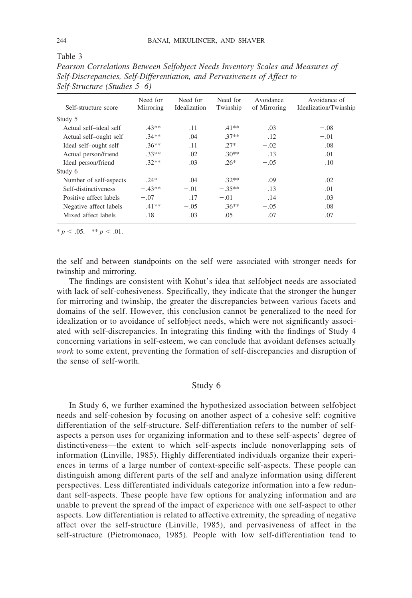#### Table 3

| $\mathcal{Q}$ = $\mathcal{Q}$ = $\mathcal{Q}$ = $\mathcal{Q}$ = $\mathcal{Q}$ = $\mathcal{Q}$ = $\mathcal{Q}$ = $\mathcal{Q}$ = $\mathcal{Q}$ = $\mathcal{Q}$ = $\mathcal{Q}$ = $\mathcal{Q}$ = $\mathcal{Q}$ = $\mathcal{Q}$ = $\mathcal{Q}$ = $\mathcal{Q}$ = $\mathcal{Q}$ = $\mathcal{Q}$ = $\mathcal{Q}$ = $\mathcal{Q}$ = |                          |                      |                           |                                       |  |  |
|---------------------------------------------------------------------------------------------------------------------------------------------------------------------------------------------------------------------------------------------------------------------------------------------------------------------------------|--------------------------|----------------------|---------------------------|---------------------------------------|--|--|
| Need for<br>Mirroring                                                                                                                                                                                                                                                                                                           | Need for<br>Idealization | Need for<br>Twinship | Avoidance<br>of Mirroring | Avoidance of<br>Idealization/Twinship |  |  |
|                                                                                                                                                                                                                                                                                                                                 |                          |                      |                           |                                       |  |  |
| $.43**$                                                                                                                                                                                                                                                                                                                         | .11                      | $.41**$              | .03                       | $-.08$                                |  |  |
| $.34**$                                                                                                                                                                                                                                                                                                                         | .04                      | $.37**$              | .12                       | $-.01$                                |  |  |
| $.36**$                                                                                                                                                                                                                                                                                                                         | .11                      | $.27*$               | $-.02$                    | .08                                   |  |  |
| $.33**$                                                                                                                                                                                                                                                                                                                         | .02                      | $.30**$              | .13                       | $-.01$                                |  |  |
| $.32**$                                                                                                                                                                                                                                                                                                                         | .03                      | $.26*$               | $-.05$                    | .10                                   |  |  |
|                                                                                                                                                                                                                                                                                                                                 |                          |                      |                           |                                       |  |  |
| $-.24*$                                                                                                                                                                                                                                                                                                                         | .04                      | $-.32**$             | .09                       | .02                                   |  |  |
| $-.43**$                                                                                                                                                                                                                                                                                                                        | $-.01$                   | $-.35***$            | .13                       | .01                                   |  |  |
| $-.07$                                                                                                                                                                                                                                                                                                                          | .17                      | $-.01$               | .14                       | .03                                   |  |  |
| $.41**$                                                                                                                                                                                                                                                                                                                         | $-.05$                   | $.36**$              | $-.05$                    | .08                                   |  |  |
| $-.18$                                                                                                                                                                                                                                                                                                                          | $-.03$                   | .05                  | $-.07$                    | .07                                   |  |  |
|                                                                                                                                                                                                                                                                                                                                 |                          |                      |                           |                                       |  |  |

*Pearson Correlations Between Selfobject Needs Inventory Scales and Measures of Self-Discrepancies, Self-Differentiation, and Pervasiveness of Affect to Self-Structure (Studies 5–6)*

 $* p < .05.$  \*\*  $p < .01.$ 

the self and between standpoints on the self were associated with stronger needs for twinship and mirroring.

The findings are consistent with Kohut's idea that selfobject needs are associated with lack of self-cohesiveness. Specifically, they indicate that the stronger the hunger for mirroring and twinship, the greater the discrepancies between various facets and domains of the self. However, this conclusion cannot be generalized to the need for idealization or to avoidance of selfobject needs, which were not significantly associated with self-discrepancies. In integrating this finding with the findings of Study 4 concerning variations in self-esteem, we can conclude that avoidant defenses actually *work* to some extent, preventing the formation of self-discrepancies and disruption of the sense of self-worth.

## Study 6

In Study 6, we further examined the hypothesized association between selfobject needs and self-cohesion by focusing on another aspect of a cohesive self: cognitive differentiation of the self-structure. Self-differentiation refers to the number of selfaspects a person uses for organizing information and to these self-aspects' degree of distinctiveness—the extent to which self-aspects include nonoverlapping sets of information (Linville, 1985). Highly differentiated individuals organize their experiences in terms of a large number of context-specific self-aspects. These people can distinguish among different parts of the self and analyze information using different perspectives. Less differentiated individuals categorize information into a few redundant self-aspects. These people have few options for analyzing information and are unable to prevent the spread of the impact of experience with one self-aspect to other aspects. Low differentiation is related to affective extremity, the spreading of negative affect over the self-structure (Linville, 1985), and pervasiveness of affect in the self-structure (Pietromonaco, 1985). People with low self-differentiation tend to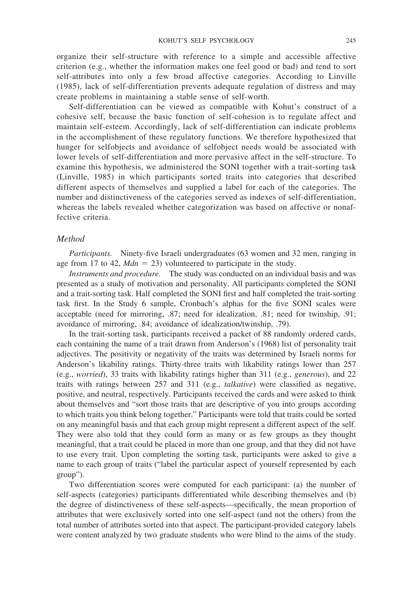organize their self-structure with reference to a simple and accessible affective criterion (e.g., whether the information makes one feel good or bad) and tend to sort self-attributes into only a few broad affective categories. According to Linville (1985), lack of self-differentiation prevents adequate regulation of distress and may create problems in maintaining a stable sense of self-worth.

Self-differentiation can be viewed as compatible with Kohut's construct of a cohesive self, because the basic function of self-cohesion is to regulate affect and maintain self-esteem. Accordingly, lack of self-differentiation can indicate problems in the accomplishment of these regulatory functions. We therefore hypothesized that hunger for selfobjects and avoidance of selfobject needs would be associated with lower levels of self-differentiation and more pervasive affect in the self-structure. To examine this hypothesis, we administered the SONI together with a trait-sorting task (Linville, 1985) in which participants sorted traits into categories that described different aspects of themselves and supplied a label for each of the categories. The number and distinctiveness of the categories served as indexes of self-differentiation, whereas the labels revealed whether categorization was based on affective or nonaffective criteria.

# *Method*

*Participants.* Ninety-five Israeli undergraduates (63 women and 32 men, ranging in age from 17 to 42,  $Mdn = 23$ ) volunteered to participate in the study.

*Instruments and procedure.* The study was conducted on an individual basis and was presented as a study of motivation and personality. All participants completed the SONI and a trait-sorting task. Half completed the SONI first and half completed the trait-sorting task first. In the Study 6 sample, Cronbach's alphas for the five SONI scales were acceptable (need for mirroring, .87; need for idealization, .81; need for twinship, .91; avoidance of mirroring, .84; avoidance of idealization/twinship, .79).

In the trait-sorting task, participants received a packet of 88 randomly ordered cards, each containing the name of a trait drawn from Anderson's (1968) list of personality trait adjectives. The positivity or negativity of the traits was determined by Israeli norms for Anderson's likability ratings. Thirty-three traits with likability ratings lower than 257 (e.g., *worried*), 33 traits with likability ratings higher than 311 (e.g., *generous*), and 22 traits with ratings between 257 and 311 (e.g., *talkative*) were classified as negative, positive, and neutral, respectively. Participants received the cards and were asked to think about themselves and "sort those traits that are descriptive of you into groups according to which traits you think belong together." Participants were told that traits could be sorted on any meaningful basis and that each group might represent a different aspect of the self. They were also told that they could form as many or as few groups as they thought meaningful, that a trait could be placed in more than one group, and that they did not have to use every trait. Upon completing the sorting task, participants were asked to give a name to each group of traits ("label the particular aspect of yourself represented by each group").

Two differentiation scores were computed for each participant: (a) the number of self-aspects (categories) participants differentiated while describing themselves and (b) the degree of distinctiveness of these self-aspects—specifically, the mean proportion of attributes that were exclusively sorted into one self-aspect (and not the others) from the total number of attributes sorted into that aspect. The participant-provided category labels were content analyzed by two graduate students who were blind to the aims of the study.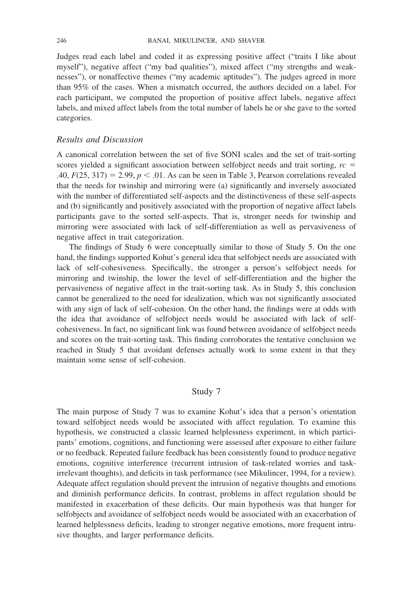Judges read each label and coded it as expressing positive affect ("traits I like about myself"), negative affect ("my bad qualities"), mixed affect ("my strengths and weaknesses"), or nonaffective themes ("my academic aptitudes"). The judges agreed in more than 95% of the cases. When a mismatch occurred, the authors decided on a label. For each participant, we computed the proportion of positive affect labels, negative affect labels, and mixed affect labels from the total number of labels he or she gave to the sorted categories.

# *Results and Discussion*

A canonical correlation between the set of five SONI scales and the set of trait-sorting scores yielded a significant association between selfobject needs and trait sorting, *rc* .40,  $F(25, 317) = 2.99$ ,  $p < .01$ . As can be seen in Table 3, Pearson correlations revealed that the needs for twinship and mirroring were (a) significantly and inversely associated with the number of differentiated self-aspects and the distinctiveness of these self-aspects and (b) significantly and positively associated with the proportion of negative affect labels participants gave to the sorted self-aspects. That is, stronger needs for twinship and mirroring were associated with lack of self-differentiation as well as pervasiveness of negative affect in trait categorization.

The findings of Study 6 were conceptually similar to those of Study 5. On the one hand, the findings supported Kohut's general idea that selfobject needs are associated with lack of self-cohesiveness. Specifically, the stronger a person's selfobject needs for mirroring and twinship, the lower the level of self-differentiation and the higher the pervasiveness of negative affect in the trait-sorting task. As in Study 5, this conclusion cannot be generalized to the need for idealization, which was not significantly associated with any sign of lack of self-cohesion. On the other hand, the findings were at odds with the idea that avoidance of selfobject needs would be associated with lack of selfcohesiveness. In fact, no significant link was found between avoidance of selfobject needs and scores on the trait-sorting task. This finding corroborates the tentative conclusion we reached in Study 5 that avoidant defenses actually work to some extent in that they maintain some sense of self-cohesion.

# Study 7

The main purpose of Study 7 was to examine Kohut's idea that a person's orientation toward selfobject needs would be associated with affect regulation. To examine this hypothesis, we constructed a classic learned helplessness experiment, in which participants' emotions, cognitions, and functioning were assessed after exposure to either failure or no feedback. Repeated failure feedback has been consistently found to produce negative emotions, cognitive interference (recurrent intrusion of task-related worries and taskirrelevant thoughts), and deficits in task performance (see Mikulincer, 1994, for a review). Adequate affect regulation should prevent the intrusion of negative thoughts and emotions and diminish performance deficits. In contrast, problems in affect regulation should be manifested in exacerbation of these deficits. Our main hypothesis was that hunger for selfobjects and avoidance of selfobject needs would be associated with an exacerbation of learned helplessness deficits, leading to stronger negative emotions, more frequent intrusive thoughts, and larger performance deficits.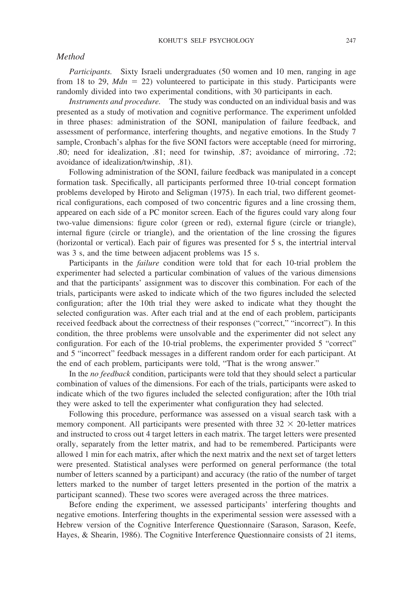# *Method*

*Participants.* Sixty Israeli undergraduates (50 women and 10 men, ranging in age from 18 to 29,  $Mdn = 22$ ) volunteered to participate in this study. Participants were randomly divided into two experimental conditions, with 30 participants in each.

*Instruments and procedure.* The study was conducted on an individual basis and was presented as a study of motivation and cognitive performance. The experiment unfolded in three phases: administration of the SONI, manipulation of failure feedback, and assessment of performance, interfering thoughts, and negative emotions. In the Study 7 sample, Cronbach's alphas for the five SONI factors were acceptable (need for mirroring, .80; need for idealization, .81; need for twinship, .87; avoidance of mirroring, .72; avoidance of idealization/twinship, .81).

Following administration of the SONI, failure feedback was manipulated in a concept formation task. Specifically, all participants performed three 10-trial concept formation problems developed by Hiroto and Seligman (1975). In each trial, two different geometrical configurations, each composed of two concentric figures and a line crossing them, appeared on each side of a PC monitor screen. Each of the figures could vary along four two-value dimensions: figure color (green or red), external figure (circle or triangle), internal figure (circle or triangle), and the orientation of the line crossing the figures (horizontal or vertical). Each pair of figures was presented for 5 s, the intertrial interval was 3 s, and the time between adjacent problems was 15 s.

Participants in the *failure* condition were told that for each 10-trial problem the experimenter had selected a particular combination of values of the various dimensions and that the participants' assignment was to discover this combination. For each of the trials, participants were asked to indicate which of the two figures included the selected configuration; after the 10th trial they were asked to indicate what they thought the selected configuration was. After each trial and at the end of each problem, participants received feedback about the correctness of their responses ("correct," "incorrect"). In this condition, the three problems were unsolvable and the experimenter did not select any configuration. For each of the 10-trial problems, the experimenter provided 5 "correct" and 5 "incorrect" feedback messages in a different random order for each participant. At the end of each problem, participants were told, "That is the wrong answer."

In the *no feedback* condition, participants were told that they should select a particular combination of values of the dimensions. For each of the trials, participants were asked to indicate which of the two figures included the selected configuration; after the 10th trial they were asked to tell the experimenter what configuration they had selected.

Following this procedure, performance was assessed on a visual search task with a memory component. All participants were presented with three  $32 \times 20$ -letter matrices and instructed to cross out 4 target letters in each matrix. The target letters were presented orally, separately from the letter matrix, and had to be remembered. Participants were allowed 1 min for each matrix, after which the next matrix and the next set of target letters were presented. Statistical analyses were performed on general performance (the total number of letters scanned by a participant) and accuracy (the ratio of the number of target letters marked to the number of target letters presented in the portion of the matrix a participant scanned). These two scores were averaged across the three matrices.

Before ending the experiment, we assessed participants' interfering thoughts and negative emotions. Interfering thoughts in the experimental session were assessed with a Hebrew version of the Cognitive Interference Questionnaire (Sarason, Sarason, Keefe, Hayes, & Shearin, 1986). The Cognitive Interference Questionnaire consists of 21 items,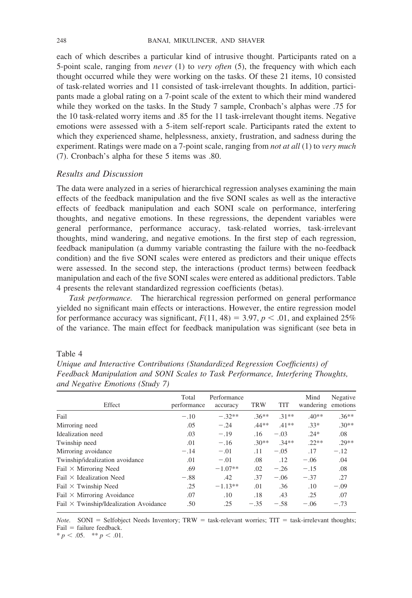each of which describes a particular kind of intrusive thought. Participants rated on a 5-point scale, ranging from *never* (1) to *very often* (5), the frequency with which each thought occurred while they were working on the tasks. Of these 21 items, 10 consisted of task-related worries and 11 consisted of task-irrelevant thoughts. In addition, participants made a global rating on a 7-point scale of the extent to which their mind wandered while they worked on the tasks. In the Study 7 sample, Cronbach's alphas were .75 for the 10 task-related worry items and .85 for the 11 task-irrelevant thought items. Negative emotions were assessed with a 5-item self-report scale. Participants rated the extent to which they experienced shame, helplessness, anxiety, frustration, and sadness during the experiment. Ratings were made on a 7-point scale, ranging from *not at all* (1) to *very much* (7). Cronbach's alpha for these 5 items was .80.

# *Results and Discussion*

The data were analyzed in a series of hierarchical regression analyses examining the main effects of the feedback manipulation and the five SONI scales as well as the interactive effects of feedback manipulation and each SONI scale on performance, interfering thoughts, and negative emotions. In these regressions, the dependent variables were general performance, performance accuracy, task-related worries, task-irrelevant thoughts, mind wandering, and negative emotions. In the first step of each regression, feedback manipulation (a dummy variable contrasting the failure with the no-feedback condition) and the five SONI scales were entered as predictors and their unique effects were assessed. In the second step, the interactions (product terms) between feedback manipulation and each of the five SONI scales were entered as additional predictors. Table 4 presents the relevant standardized regression coefficients (betas).

*Task performance.* The hierarchical regression performed on general performance yielded no significant main effects or interactions. However, the entire regression model for performance accuracy was significant,  $F(11, 48) = 3.97$ ,  $p < .01$ , and explained 25% of the variance. The main effect for feedback manipulation was significant (see beta in

#### Table 4

| $\mu$ and $\mu$ $\mu$ , $\mu$ and $\mu$ and $\mu$ and $\mu$ and $\mu$ |                      |                         |            |            |                   |                      |  |
|-----------------------------------------------------------------------|----------------------|-------------------------|------------|------------|-------------------|----------------------|--|
| Effect                                                                | Total<br>performance | Performance<br>accuracy | <b>TRW</b> | <b>TIT</b> | Mind<br>wandering | Negative<br>emotions |  |
| Fail                                                                  | $-.10$               | $-.32**$                | $.36**$    | $31**$     | $.40**$           | $.36**$              |  |
| Mirroring need                                                        | .05                  | $-.24$                  | $.44**$    | $.41**$    | $.33*$            | $.30**$              |  |
| Idealization need                                                     | .03                  | $-.19$                  | .16        | $-.03$     | $.24*$            | .08                  |  |
| Twinship need                                                         | .01                  | $-.16$                  | $.30**$    | $.34**$    | $.22**$           | $.29**$              |  |
| Mirroring avoidance                                                   | $-.14$               | $-.01$                  | .11        | $-.05$     | .17               | $-.12$               |  |
| Twinship/idealization avoidance                                       | .01                  | $-.01$                  | .08        | .12        | $-.06$            | .04                  |  |
| Fail $\times$ Mirroring Need                                          | .69                  | $-1.07**$               | .02        | $-.26$     | $-.15$            | .08                  |  |
| Fail $\times$ Idealization Need                                       | $-.88$               | .42                     | .37        | $-.06$     | $-.37$            | .27                  |  |
| Fail $\times$ Twinship Need                                           | .25                  | $-1.13**$               | .01        | .36        | .10               | $-.09$               |  |
| Fail $\times$ Mirroring Avoidance                                     | .07                  | .10                     | .18        | .43        | .25               | .07                  |  |
| Fail $\times$ Twinship/Idealization Avoidance                         | .50                  | .25                     | $-.35$     | $-.58$     | $-.06$            | $-.73$               |  |

*Unique and Interactive Contributions (Standardized Regression Coefficients) of Feedback Manipulation and SONI Scales to Task Performance, Interfering Thoughts, and Negative Emotions (Study 7)*

*Note.* SONI = Selfobject Needs Inventory; TRW = task-relevant worries; TIT = task-irrelevant thoughts;  $Fail = failure feedback.$ 

 $* p < .05.$  \*\*  $p < .01.$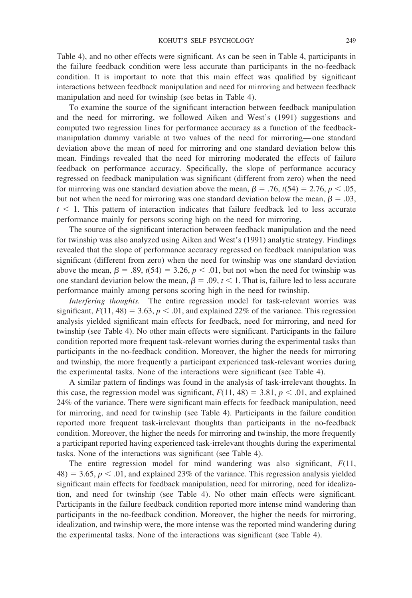Table 4), and no other effects were significant. As can be seen in Table 4, participants in the failure feedback condition were less accurate than participants in the no-feedback condition. It is important to note that this main effect was qualified by significant interactions between feedback manipulation and need for mirroring and between feedback manipulation and need for twinship (see betas in Table 4).

To examine the source of the significant interaction between feedback manipulation and the need for mirroring, we followed Aiken and West's (1991) suggestions and computed two regression lines for performance accuracy as a function of the feedbackmanipulation dummy variable at two values of the need for mirroring—one standard deviation above the mean of need for mirroring and one standard deviation below this mean. Findings revealed that the need for mirroring moderated the effects of failure feedback on performance accuracy. Specifically, the slope of performance accuracy regressed on feedback manipulation was significant (different from zero) when the need for mirroring was one standard deviation above the mean,  $\beta = .76$ ,  $t(54) = 2.76$ ,  $p < .05$ , but not when the need for mirroring was one standard deviation below the mean,  $\beta = .03$ ,  $t < 1$ . This pattern of interaction indicates that failure feedback led to less accurate performance mainly for persons scoring high on the need for mirroring.

The source of the significant interaction between feedback manipulation and the need for twinship was also analyzed using Aiken and West's (1991) analytic strategy. Findings revealed that the slope of performance accuracy regressed on feedback manipulation was significant (different from zero) when the need for twinship was one standard deviation above the mean,  $\beta = .89$ ,  $t(54) = 3.26$ ,  $p < .01$ , but not when the need for twinship was one standard deviation below the mean,  $\beta = .09$ ,  $t < 1$ . That is, failure led to less accurate performance mainly among persons scoring high in the need for twinship.

*Interfering thoughts.* The entire regression model for task-relevant worries was significant,  $F(11, 48) = 3.63$ ,  $p < .01$ , and explained 22% of the variance. This regression analysis yielded significant main effects for feedback, need for mirroring, and need for twinship (see Table 4). No other main effects were significant. Participants in the failure condition reported more frequent task-relevant worries during the experimental tasks than participants in the no-feedback condition. Moreover, the higher the needs for mirroring and twinship, the more frequently a participant experienced task-relevant worries during the experimental tasks. None of the interactions were significant (see Table 4).

A similar pattern of findings was found in the analysis of task-irrelevant thoughts. In this case, the regression model was significant,  $F(11, 48) = 3.81$ ,  $p < .01$ , and explained 24% of the variance. There were significant main effects for feedback manipulation, need for mirroring, and need for twinship (see Table 4). Participants in the failure condition reported more frequent task-irrelevant thoughts than participants in the no-feedback condition. Moreover, the higher the needs for mirroring and twinship, the more frequently a participant reported having experienced task-irrelevant thoughts during the experimental tasks. None of the interactions was significant (see Table 4).

The entire regression model for mind wandering was also significant, *F*(11,  $48$ ) = 3.65,  $p < .01$ , and explained 23% of the variance. This regression analysis yielded significant main effects for feedback manipulation, need for mirroring, need for idealization, and need for twinship (see Table 4). No other main effects were significant. Participants in the failure feedback condition reported more intense mind wandering than participants in the no-feedback condition. Moreover, the higher the needs for mirroring, idealization, and twinship were, the more intense was the reported mind wandering during the experimental tasks. None of the interactions was significant (see Table 4).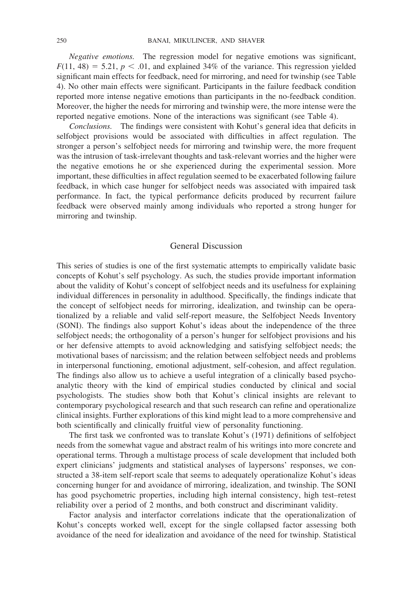*Negative emotions.* The regression model for negative emotions was significant,  $F(11, 48) = 5.21, p < .01$ , and explained 34% of the variance. This regression yielded significant main effects for feedback, need for mirroring, and need for twinship (see Table 4). No other main effects were significant. Participants in the failure feedback condition reported more intense negative emotions than participants in the no-feedback condition. Moreover, the higher the needs for mirroring and twinship were, the more intense were the reported negative emotions. None of the interactions was significant (see Table 4).

*Conclusions.* The findings were consistent with Kohut's general idea that deficits in selfobject provisions would be associated with difficulties in affect regulation. The stronger a person's selfobject needs for mirroring and twinship were, the more frequent was the intrusion of task-irrelevant thoughts and task-relevant worries and the higher were the negative emotions he or she experienced during the experimental session. More important, these difficulties in affect regulation seemed to be exacerbated following failure feedback, in which case hunger for selfobject needs was associated with impaired task performance. In fact, the typical performance deficits produced by recurrent failure feedback were observed mainly among individuals who reported a strong hunger for mirroring and twinship.

## General Discussion

This series of studies is one of the first systematic attempts to empirically validate basic concepts of Kohut's self psychology. As such, the studies provide important information about the validity of Kohut's concept of selfobject needs and its usefulness for explaining individual differences in personality in adulthood. Specifically, the findings indicate that the concept of selfobject needs for mirroring, idealization, and twinship can be operationalized by a reliable and valid self-report measure, the Selfobject Needs Inventory (SONI). The findings also support Kohut's ideas about the independence of the three selfobject needs; the orthogonality of a person's hunger for selfobject provisions and his or her defensive attempts to avoid acknowledging and satisfying selfobject needs; the motivational bases of narcissism; and the relation between selfobject needs and problems in interpersonal functioning, emotional adjustment, self-cohesion, and affect regulation. The findings also allow us to achieve a useful integration of a clinically based psychoanalytic theory with the kind of empirical studies conducted by clinical and social psychologists. The studies show both that Kohut's clinical insights are relevant to contemporary psychological research and that such research can refine and operationalize clinical insights. Further explorations of this kind might lead to a more comprehensive and both scientifically and clinically fruitful view of personality functioning.

The first task we confronted was to translate Kohut's (1971) definitions of selfobject needs from the somewhat vague and abstract realm of his writings into more concrete and operational terms. Through a multistage process of scale development that included both expert clinicians' judgments and statistical analyses of laypersons' responses, we constructed a 38-item self-report scale that seems to adequately operationalize Kohut's ideas concerning hunger for and avoidance of mirroring, idealization, and twinship. The SONI has good psychometric properties, including high internal consistency, high test–retest reliability over a period of 2 months, and both construct and discriminant validity.

Factor analysis and interfactor correlations indicate that the operationalization of Kohut's concepts worked well, except for the single collapsed factor assessing both avoidance of the need for idealization and avoidance of the need for twinship. Statistical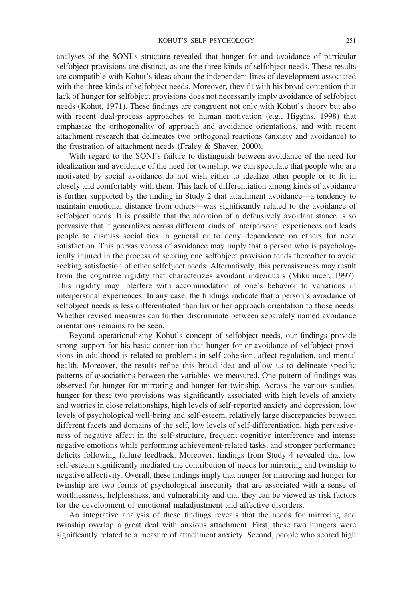analyses of the SONI's structure revealed that hunger for and avoidance of particular selfobject provisions are distinct, as are the three kinds of selfobject needs. These results are compatible with Kohut's ideas about the independent lines of development associated with the three kinds of selfobject needs. Moreover, they fit with his broad contention that lack of hunger for selfobject provisions does not necessarily imply avoidance of selfobject needs (Kohut, 1971). These findings are congruent not only with Kohut's theory but also with recent dual-process approaches to human motivation (e.g., Higgins, 1998) that emphasize the orthogonality of approach and avoidance orientations, and with recent attachment research that delineates two orthogonal reactions (anxiety and avoidance) to the frustration of attachment needs (Fraley & Shaver, 2000).

With regard to the SONI's failure to distinguish between avoidance of the need for idealization and avoidance of the need for twinship, we can speculate that people who are motivated by social avoidance do not wish either to idealize other people or to fit in closely and comfortably with them. This lack of differentiation among kinds of avoidance is further supported by the finding in Study 2 that attachment avoidance—a tendency to maintain emotional distance from others—was significantly related to the avoidance of selfobject needs. It is possible that the adoption of a defensively avoidant stance is so pervasive that it generalizes across different kinds of interpersonal experiences and leads people to dismiss social ties in general or to deny dependence on others for need satisfaction. This pervasiveness of avoidance may imply that a person who is psychologically injured in the process of seeking one selfobject provision tends thereafter to avoid seeking satisfaction of other selfobject needs. Alternatively, this pervasiveness may result from the cognitive rigidity that characterizes avoidant individuals (Mikulincer, 1997). This rigidity may interfere with accommodation of one's behavior to variations in interpersonal experiences. In any case, the findings indicate that a person's avoidance of selfobject needs is less differentiated than his or her approach orientation to those needs. Whether revised measures can further discriminate between separately named avoidance orientations remains to be seen.

Beyond operationalizing Kohut's concept of selfobject needs, our findings provide strong support for his basic contention that hunger for or avoidance of selfobject provisions in adulthood is related to problems in self-cohesion, affect regulation, and mental health. Moreover, the results refine this broad idea and allow us to delineate specific patterns of associations between the variables we measured. One pattern of findings was observed for hunger for mirroring and hunger for twinship. Across the various studies, hunger for these two provisions was significantly associated with high levels of anxiety and worries in close relationships, high levels of self-reported anxiety and depression, low levels of psychological well-being and self-esteem, relatively large discrepancies between different facets and domains of the self, low levels of self-differentiation, high pervasiveness of negative affect in the self-structure, frequent cognitive interference and intense negative emotions while performing achievement-related tasks, and stronger performance deficits following failure feedback. Moreover, findings from Study 4 revealed that low self-esteem significantly mediated the contribution of needs for mirroring and twinship to negative affectivity. Overall, these findings imply that hunger for mirroring and hunger for twinship are two forms of psychological insecurity that are associated with a sense of worthlessness, helplessness, and vulnerability and that they can be viewed as risk factors for the development of emotional maladjustment and affective disorders.

An integrative analysis of these findings reveals that the needs for mirroring and twinship overlap a great deal with anxious attachment. First, these two hungers were significantly related to a measure of attachment anxiety. Second, people who scored high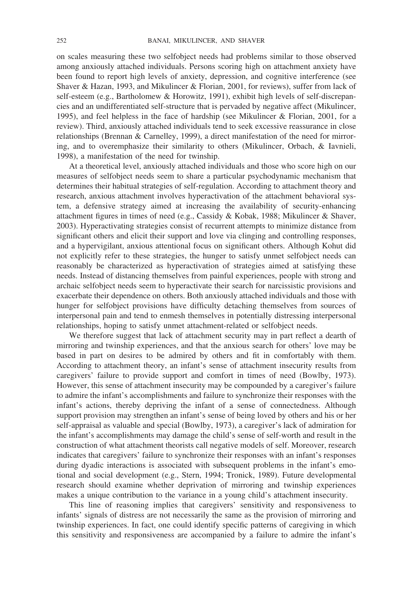on scales measuring these two selfobject needs had problems similar to those observed among anxiously attached individuals. Persons scoring high on attachment anxiety have been found to report high levels of anxiety, depression, and cognitive interference (see Shaver & Hazan, 1993, and Mikulincer & Florian, 2001, for reviews), suffer from lack of self-esteem (e.g., Bartholomew & Horowitz, 1991), exhibit high levels of self-discrepancies and an undifferentiated self-structure that is pervaded by negative affect (Mikulincer, 1995), and feel helpless in the face of hardship (see Mikulincer & Florian, 2001, for a review). Third, anxiously attached individuals tend to seek excessive reassurance in close relationships (Brennan & Carnelley, 1999), a direct manifestation of the need for mirroring, and to overemphasize their similarity to others (Mikulincer, Orbach, & Iavnieli, 1998), a manifestation of the need for twinship.

At a theoretical level, anxiously attached individuals and those who score high on our measures of selfobject needs seem to share a particular psychodynamic mechanism that determines their habitual strategies of self-regulation. According to attachment theory and research, anxious attachment involves hyperactivation of the attachment behavioral system, a defensive strategy aimed at increasing the availability of security-enhancing attachment figures in times of need (e.g., Cassidy & Kobak, 1988; Mikulincer & Shaver, 2003). Hyperactivating strategies consist of recurrent attempts to minimize distance from significant others and elicit their support and love via clinging and controlling responses, and a hypervigilant, anxious attentional focus on significant others. Although Kohut did not explicitly refer to these strategies, the hunger to satisfy unmet selfobject needs can reasonably be characterized as hyperactivation of strategies aimed at satisfying these needs. Instead of distancing themselves from painful experiences, people with strong and archaic selfobject needs seem to hyperactivate their search for narcissistic provisions and exacerbate their dependence on others. Both anxiously attached individuals and those with hunger for selfobject provisions have difficulty detaching themselves from sources of interpersonal pain and tend to enmesh themselves in potentially distressing interpersonal relationships, hoping to satisfy unmet attachment-related or selfobject needs.

We therefore suggest that lack of attachment security may in part reflect a dearth of mirroring and twinship experiences, and that the anxious search for others' love may be based in part on desires to be admired by others and fit in comfortably with them. According to attachment theory, an infant's sense of attachment insecurity results from caregivers' failure to provide support and comfort in times of need (Bowlby, 1973). However, this sense of attachment insecurity may be compounded by a caregiver's failure to admire the infant's accomplishments and failure to synchronize their responses with the infant's actions, thereby depriving the infant of a sense of connectedness. Although support provision may strengthen an infant's sense of being loved by others and his or her self-appraisal as valuable and special (Bowlby, 1973), a caregiver's lack of admiration for the infant's accomplishments may damage the child's sense of self-worth and result in the construction of what attachment theorists call negative models of self. Moreover, research indicates that caregivers' failure to synchronize their responses with an infant's responses during dyadic interactions is associated with subsequent problems in the infant's emotional and social development (e.g., Stern, 1994; Tronick, 1989). Future developmental research should examine whether deprivation of mirroring and twinship experiences makes a unique contribution to the variance in a young child's attachment insecurity.

This line of reasoning implies that caregivers' sensitivity and responsiveness to infants' signals of distress are not necessarily the same as the provision of mirroring and twinship experiences. In fact, one could identify specific patterns of caregiving in which this sensitivity and responsiveness are accompanied by a failure to admire the infant's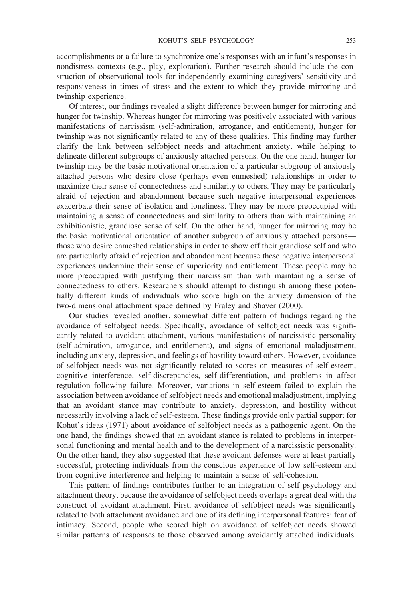accomplishments or a failure to synchronize one's responses with an infant's responses in nondistress contexts (e.g., play, exploration). Further research should include the construction of observational tools for independently examining caregivers' sensitivity and responsiveness in times of stress and the extent to which they provide mirroring and twinship experience.

Of interest, our findings revealed a slight difference between hunger for mirroring and hunger for twinship. Whereas hunger for mirroring was positively associated with various manifestations of narcissism (self-admiration, arrogance, and entitlement), hunger for twinship was not significantly related to any of these qualities. This finding may further clarify the link between selfobject needs and attachment anxiety, while helping to delineate different subgroups of anxiously attached persons. On the one hand, hunger for twinship may be the basic motivational orientation of a particular subgroup of anxiously attached persons who desire close (perhaps even enmeshed) relationships in order to maximize their sense of connectedness and similarity to others. They may be particularly afraid of rejection and abandonment because such negative interpersonal experiences exacerbate their sense of isolation and loneliness. They may be more preoccupied with maintaining a sense of connectedness and similarity to others than with maintaining an exhibitionistic, grandiose sense of self. On the other hand, hunger for mirroring may be the basic motivational orientation of another subgroup of anxiously attached persons those who desire enmeshed relationships in order to show off their grandiose self and who are particularly afraid of rejection and abandonment because these negative interpersonal experiences undermine their sense of superiority and entitlement. These people may be more preoccupied with justifying their narcissism than with maintaining a sense of connectedness to others. Researchers should attempt to distinguish among these potentially different kinds of individuals who score high on the anxiety dimension of the two-dimensional attachment space defined by Fraley and Shaver (2000).

Our studies revealed another, somewhat different pattern of findings regarding the avoidance of selfobject needs. Specifically, avoidance of selfobject needs was significantly related to avoidant attachment, various manifestations of narcissistic personality (self-admiration, arrogance, and entitlement), and signs of emotional maladjustment, including anxiety, depression, and feelings of hostility toward others. However, avoidance of selfobject needs was not significantly related to scores on measures of self-esteem, cognitive interference, self-discrepancies, self-differentiation, and problems in affect regulation following failure. Moreover, variations in self-esteem failed to explain the association between avoidance of selfobject needs and emotional maladjustment, implying that an avoidant stance may contribute to anxiety, depression, and hostility without necessarily involving a lack of self-esteem. These findings provide only partial support for Kohut's ideas (1971) about avoidance of selfobject needs as a pathogenic agent. On the one hand, the findings showed that an avoidant stance is related to problems in interpersonal functioning and mental health and to the development of a narcissistic personality. On the other hand, they also suggested that these avoidant defenses were at least partially successful, protecting individuals from the conscious experience of low self-esteem and from cognitive interference and helping to maintain a sense of self-cohesion.

This pattern of findings contributes further to an integration of self psychology and attachment theory, because the avoidance of selfobject needs overlaps a great deal with the construct of avoidant attachment. First, avoidance of selfobject needs was significantly related to both attachment avoidance and one of its defining interpersonal features: fear of intimacy. Second, people who scored high on avoidance of selfobject needs showed similar patterns of responses to those observed among avoidantly attached individuals.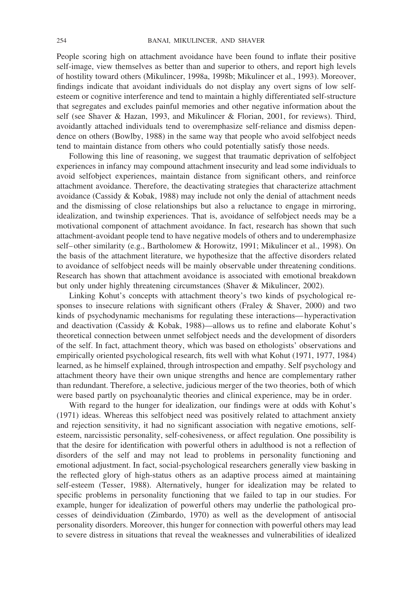People scoring high on attachment avoidance have been found to inflate their positive self-image, view themselves as better than and superior to others, and report high levels of hostility toward others (Mikulincer, 1998a, 1998b; Mikulincer et al., 1993). Moreover, findings indicate that avoidant individuals do not display any overt signs of low selfesteem or cognitive interference and tend to maintain a highly differentiated self-structure that segregates and excludes painful memories and other negative information about the self (see Shaver & Hazan, 1993, and Mikulincer & Florian, 2001, for reviews). Third, avoidantly attached individuals tend to overemphasize self-reliance and dismiss dependence on others (Bowlby, 1988) in the same way that people who avoid selfobject needs tend to maintain distance from others who could potentially satisfy those needs.

Following this line of reasoning, we suggest that traumatic deprivation of selfobject experiences in infancy may compound attachment insecurity and lead some individuals to avoid selfobject experiences, maintain distance from significant others, and reinforce attachment avoidance. Therefore, the deactivating strategies that characterize attachment avoidance (Cassidy & Kobak, 1988) may include not only the denial of attachment needs and the dismissing of close relationships but also a reluctance to engage in mirroring, idealization, and twinship experiences. That is, avoidance of selfobject needs may be a motivational component of attachment avoidance. In fact, research has shown that such attachment-avoidant people tend to have negative models of others and to underemphasize self–other similarity (e.g., Bartholomew & Horowitz, 1991; Mikulincer et al., 1998). On the basis of the attachment literature, we hypothesize that the affective disorders related to avoidance of selfobject needs will be mainly observable under threatening conditions. Research has shown that attachment avoidance is associated with emotional breakdown but only under highly threatening circumstances (Shaver & Mikulincer, 2002).

Linking Kohut's concepts with attachment theory's two kinds of psychological responses to insecure relations with significant others (Fraley & Shaver, 2000) and two kinds of psychodynamic mechanisms for regulating these interactions—hyperactivation and deactivation (Cassidy & Kobak, 1988)—allows us to refine and elaborate Kohut's theoretical connection between unmet selfobject needs and the development of disorders of the self. In fact, attachment theory, which was based on ethologists' observations and empirically oriented psychological research, fits well with what Kohut (1971, 1977, 1984) learned, as he himself explained, through introspection and empathy. Self psychology and attachment theory have their own unique strengths and hence are complementary rather than redundant. Therefore, a selective, judicious merger of the two theories, both of which were based partly on psychoanalytic theories and clinical experience, may be in order.

With regard to the hunger for idealization, our findings were at odds with Kohut's (1971) ideas. Whereas this selfobject need was positively related to attachment anxiety and rejection sensitivity, it had no significant association with negative emotions, selfesteem, narcissistic personality, self-cohesiveness, or affect regulation. One possibility is that the desire for identification with powerful others in adulthood is not a reflection of disorders of the self and may not lead to problems in personality functioning and emotional adjustment. In fact, social-psychological researchers generally view basking in the reflected glory of high-status others as an adaptive process aimed at maintaining self-esteem (Tesser, 1988). Alternatively, hunger for idealization may be related to specific problems in personality functioning that we failed to tap in our studies. For example, hunger for idealization of powerful others may underlie the pathological processes of deindividuation (Zimbardo, 1970) as well as the development of antisocial personality disorders. Moreover, this hunger for connection with powerful others may lead to severe distress in situations that reveal the weaknesses and vulnerabilities of idealized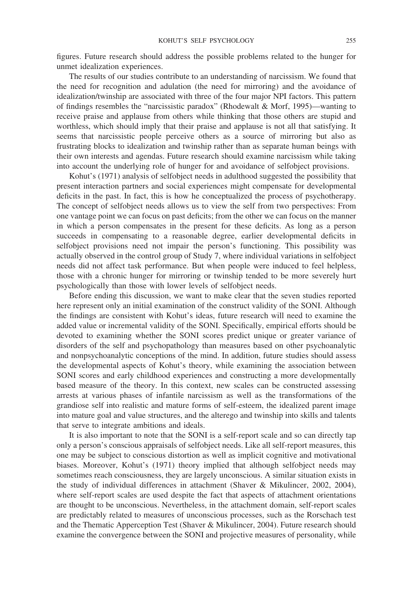figures. Future research should address the possible problems related to the hunger for unmet idealization experiences.

The results of our studies contribute to an understanding of narcissism. We found that the need for recognition and adulation (the need for mirroring) and the avoidance of idealization/twinship are associated with three of the four major NPI factors. This pattern of findings resembles the "narcissistic paradox" (Rhodewalt & Morf, 1995)—wanting to receive praise and applause from others while thinking that those others are stupid and worthless, which should imply that their praise and applause is not all that satisfying. It seems that narcissistic people perceive others as a source of mirroring but also as frustrating blocks to idealization and twinship rather than as separate human beings with their own interests and agendas. Future research should examine narcissism while taking into account the underlying role of hunger for and avoidance of selfobject provisions.

Kohut's (1971) analysis of selfobject needs in adulthood suggested the possibility that present interaction partners and social experiences might compensate for developmental deficits in the past. In fact, this is how he conceptualized the process of psychotherapy. The concept of selfobject needs allows us to view the self from two perspectives: From one vantage point we can focus on past deficits; from the other we can focus on the manner in which a person compensates in the present for these deficits. As long as a person succeeds in compensating to a reasonable degree, earlier developmental deficits in selfobject provisions need not impair the person's functioning. This possibility was actually observed in the control group of Study 7, where individual variations in selfobject needs did not affect task performance. But when people were induced to feel helpless, those with a chronic hunger for mirroring or twinship tended to be more severely hurt psychologically than those with lower levels of selfobject needs.

Before ending this discussion, we want to make clear that the seven studies reported here represent only an initial examination of the construct validity of the SONI. Although the findings are consistent with Kohut's ideas, future research will need to examine the added value or incremental validity of the SONI. Specifically, empirical efforts should be devoted to examining whether the SONI scores predict unique or greater variance of disorders of the self and psychopathology than measures based on other psychoanalytic and nonpsychoanalytic conceptions of the mind. In addition, future studies should assess the developmental aspects of Kohut's theory, while examining the association between SONI scores and early childhood experiences and constructing a more developmentally based measure of the theory. In this context, new scales can be constructed assessing arrests at various phases of infantile narcissism as well as the transformations of the grandiose self into realistic and mature forms of self-esteem, the idealized parent image into mature goal and value structures, and the alterego and twinship into skills and talents that serve to integrate ambitions and ideals.

It is also important to note that the SONI is a self-report scale and so can directly tap only a person's conscious appraisals of selfobject needs. Like all self-report measures, this one may be subject to conscious distortion as well as implicit cognitive and motivational biases. Moreover, Kohut's (1971) theory implied that although selfobject needs may sometimes reach consciousness, they are largely unconscious. A similar situation exists in the study of individual differences in attachment (Shaver & Mikulincer, 2002, 2004), where self-report scales are used despite the fact that aspects of attachment orientations are thought to be unconscious. Nevertheless, in the attachment domain, self-report scales are predictably related to measures of unconscious processes, such as the Rorschach test and the Thematic Apperception Test (Shaver & Mikulincer, 2004). Future research should examine the convergence between the SONI and projective measures of personality, while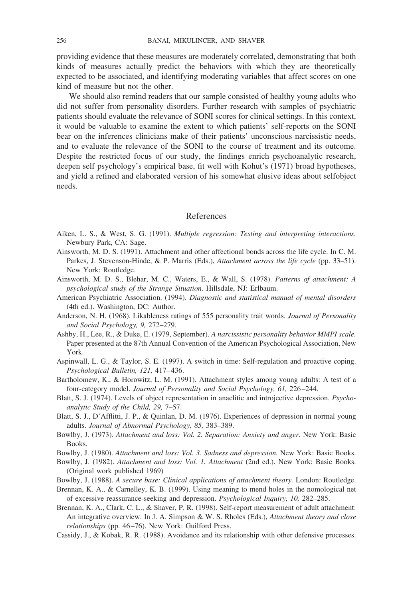providing evidence that these measures are moderately correlated, demonstrating that both kinds of measures actually predict the behaviors with which they are theoretically expected to be associated, and identifying moderating variables that affect scores on one kind of measure but not the other.

We should also remind readers that our sample consisted of healthy young adults who did not suffer from personality disorders. Further research with samples of psychiatric patients should evaluate the relevance of SONI scores for clinical settings. In this context, it would be valuable to examine the extent to which patients' self-reports on the SONI bear on the inferences clinicians make of their patients' unconscious narcissistic needs, and to evaluate the relevance of the SONI to the course of treatment and its outcome. Despite the restricted focus of our study, the findings enrich psychoanalytic research, deepen self psychology's empirical base, fit well with Kohut's (1971) broad hypotheses, and yield a refined and elaborated version of his somewhat elusive ideas about selfobject needs.

## References

- Aiken, L. S., & West, S. G. (1991). *Multiple regression: Testing and interpreting interactions.* Newbury Park, CA: Sage.
- Ainsworth, M. D. S. (1991). Attachment and other affectional bonds across the life cycle. In C. M. Parkes, J. Stevenson-Hinde, & P. Marris (Eds.), *Attachment across the life cycle* (pp. 33–51). New York: Routledge.
- Ainsworth, M. D. S., Blehar, M. C., Waters, E., & Wall, S. (1978). *Patterns of attachment: A psychological study of the Strange Situation.* Hillsdale, NJ: Erlbaum.
- American Psychiatric Association. (1994). *Diagnostic and statistical manual of mental disorders* (4th ed.). Washington, DC: Author.
- Anderson, N. H. (1968). Likableness ratings of 555 personality trait words. *Journal of Personality and Social Psychology, 9,* 272–279.
- Ashby, H., Lee, R., & Duke, E. (1979, September). *A narcissistic personality behavior MMPI scale.* Paper presented at the 87th Annual Convention of the American Psychological Association, New York.
- Aspinwall, L. G., & Taylor, S. E. (1997). A switch in time: Self-regulation and proactive coping. *Psychological Bulletin, 121,* 417–436.
- Bartholomew, K., & Horowitz, L. M. (1991). Attachment styles among young adults: A test of a four-category model. *Journal of Personality and Social Psychology, 61,* 226–244.
- Blatt, S. J. (1974). Levels of object representation in anaclitic and introjective depression. *Psychoanalytic Study of the Child, 29,* 7–57.
- Blatt, S. J., D'Afflitti, J. P., & Quinlan, D. M. (1976). Experiences of depression in normal young adults. *Journal of Abnormal Psychology, 85,* 383–389.
- Bowlby, J. (1973). *Attachment and loss: Vol. 2. Separation: Anxiety and anger.* New York: Basic Books.
- Bowlby, J. (1980). *Attachment and loss: Vol. 3. Sadness and depression.* New York: Basic Books.
- Bowlby, J. (1982). *Attachment and loss: Vol. 1. Attachment* (2nd ed.). New York: Basic Books. (Original work published 1969)
- Bowlby, J. (1988). *A secure base: Clinical applications of attachment theory.* London: Routledge.
- Brennan, K. A., & Carnelley, K. B. (1999). Using meaning to mend holes in the nomological net of excessive reassurance-seeking and depression. *Psychological Inquiry, 10,* 282–285.
- Brennan, K. A., Clark, C. L., & Shaver, P. R. (1998). Self-report measurement of adult attachment: An integrative overview. In J. A. Simpson & W. S. Rholes (Eds.), *Attachment theory and close relationships* (pp. 46–76). New York: Guilford Press.
- Cassidy, J., & Kobak, R. R. (1988). Avoidance and its relationship with other defensive processes.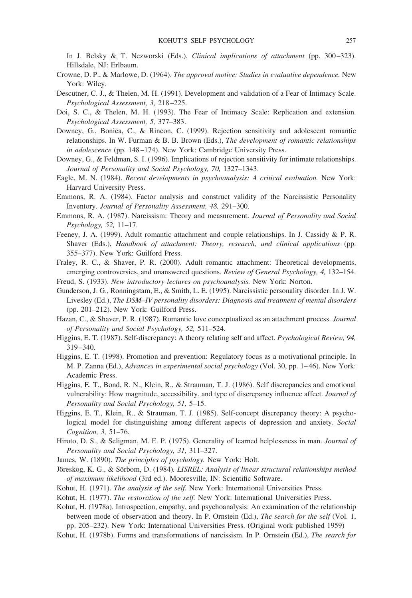In J. Belsky & T. Nezworski (Eds.), *Clinical implications of attachment* (pp. 300–323). Hillsdale, NJ: Erlbaum.

- Crowne, D. P., & Marlowe, D. (1964). *The approval motive: Studies in evaluative dependence.* New York: Wiley.
- Descutner, C. J., & Thelen, M. H. (1991). Development and validation of a Fear of Intimacy Scale. *Psychological Assessment, 3,* 218–225.
- Doi, S. C., & Thelen, M. H. (1993). The Fear of Intimacy Scale: Replication and extension. *Psychological Assessment, 5,* 377–383.
- Downey, G., Bonica, C., & Rincon, C. (1999). Rejection sensitivity and adolescent romantic relationships. In W. Furman & B. B. Brown (Eds.), *The development of romantic relationships in adolescence* (pp. 148–174). New York: Cambridge University Press.
- Downey, G., & Feldman, S. I. (1996). Implications of rejection sensitivity for intimate relationships. *Journal of Personality and Social Psychology, 70,* 1327–1343.
- Eagle, M. N. (1984). *Recent developments in psychoanalysis: A critical evaluation.* New York: Harvard University Press.
- Emmons, R. A. (1984). Factor analysis and construct validity of the Narcissistic Personality Inventory. *Journal of Personality Assessment, 48,* 291–300.
- Emmons, R. A. (1987). Narcissism: Theory and measurement. *Journal of Personality and Social Psychology, 52,* 11–17.
- Feeney, J. A. (1999). Adult romantic attachment and couple relationships. In J. Cassidy & P. R. Shaver (Eds.), *Handbook of attachment: Theory, research, and clinical applications* (pp. 355–377). New York: Guilford Press.
- Fraley, R. C., & Shaver, P. R. (2000). Adult romantic attachment: Theoretical developments, emerging controversies, and unanswered questions. *Review of General Psychology, 4,* 132–154. Freud, S. (1933). *New introductory lectures on psychoanalysis.* New York: Norton.
- Gunderson, J. G., Ronningstam, E., & Smith, L. E. (1995). Narcissistic personality disorder. In J. W. Livesley (Ed.), *The DSM–IV personality disorders: Diagnosis and treatment of mental disorders* (pp. 201–212). New York: Guilford Press.
- Hazan, C., & Shaver, P. R. (1987). Romantic love conceptualized as an attachment process. *Journal of Personality and Social Psychology, 52,* 511–524.
- Higgins, E. T. (1987). Self-discrepancy: A theory relating self and affect. *Psychological Review, 94,* 319–340.
- Higgins, E. T. (1998). Promotion and prevention: Regulatory focus as a motivational principle. In M. P. Zanna (Ed.), *Advances in experimental social psychology* (Vol. 30, pp. 1–46). New York: Academic Press.
- Higgins, E. T., Bond, R. N., Klein, R., & Strauman, T. J. (1986). Self discrepancies and emotional vulnerability: How magnitude, accessibility, and type of discrepancy influence affect. *Journal of Personality and Social Psychology, 51,* 5–15.
- Higgins, E. T., Klein, R., & Strauman, T. J. (1985). Self-concept discrepancy theory: A psychological model for distinguishing among different aspects of depression and anxiety. *Social Cognition, 3,* 51–76.
- Hiroto, D. S., & Seligman, M. E. P. (1975). Generality of learned helplessness in man. *Journal of Personality and Social Psychology, 31,* 311–327.
- James, W. (1890). *The principles of psychology.* New York: Holt.
- Jöreskog, K. G., & Sörbom, D. (1984). *LISREL: Analysis of linear structural relationships method of maximum likelihood* (3rd ed.). Mooresville, IN: Scientific Software.
- Kohut, H. (1971). *The analysis of the self.* New York: International Universities Press.
- Kohut, H. (1977). *The restoration of the self.* New York: International Universities Press.

Kohut, H. (1978a). Introspection, empathy, and psychoanalysis: An examination of the relationship between mode of observation and theory. In P. Ornstein (Ed.), *The search for the self* (Vol. 1, pp. 205–232). New York: International Universities Press. (Original work published 1959)

Kohut, H. (1978b). Forms and transformations of narcissism. In P. Ornstein (Ed.), *The search for*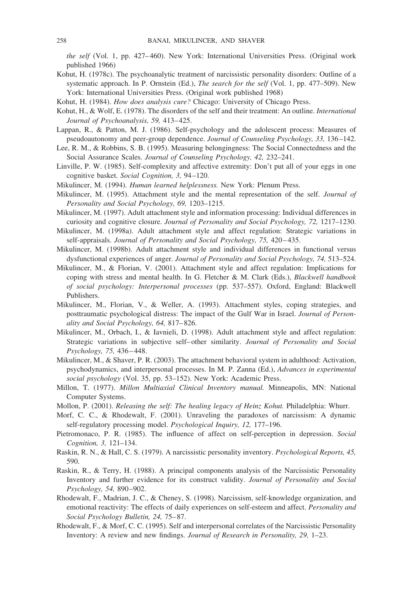*the self* (Vol. 1, pp. 427–460). New York: International Universities Press. (Original work published 1966)

- Kohut, H. (1978c). The psychoanalytic treatment of narcissistic personality disorders: Outline of a systematic approach. In P. Ornstein (Ed.), *The search for the self* (Vol. 1, pp. 477–509). New York: International Universities Press. (Original work published 1968)
- Kohut, H. (1984). *How does analysis cure?* Chicago: University of Chicago Press.
- Kohut, H., & Wolf, E. (1978). The disorders of the self and their treatment: An outline. *International Journal of Psychoanalysis, 59,* 413–425.
- Lappan, R., & Patton, M. J. (1986). Self-psychology and the adolescent process: Measures of pseudoautonomy and peer-group dependence. *Journal of Counseling Psychology, 33,* 136–142.
- Lee, R. M., & Robbins, S. B. (1995). Measuring belongingness: The Social Connectedness and the Social Assurance Scales. *Journal of Counseling Psychology, 42,* 232–241.
- Linville, P. W. (1985). Self-complexity and affective extremity: Don't put all of your eggs in one cognitive basket. *Social Cognition, 3,* 94–120.
- Mikulincer, M. (1994). *Human learned helplessness.* New York: Plenum Press.
- Mikulincer, M. (1995). Attachment style and the mental representation of the self. *Journal of Personality and Social Psychology, 69,* 1203–1215.
- Mikulincer, M. (1997). Adult attachment style and information processing: Individual differences in curiosity and cognitive closure. *Journal of Personality and Social Psychology, 72,* 1217–1230.
- Mikulincer, M. (1998a). Adult attachment style and affect regulation: Strategic variations in self-appraisals. *Journal of Personality and Social Psychology, 75,* 420–435.
- Mikulincer, M. (1998b). Adult attachment style and individual differences in functional versus dysfunctional experiences of anger. *Journal of Personality and Social Psychology, 74,* 513–524.
- Mikulincer, M., & Florian, V. (2001). Attachment style and affect regulation: Implications for coping with stress and mental health. In G. Fletcher & M. Clark (Eds.), *Blackwell handbook of social psychology: Interpersonal processes* (pp. 537–557). Oxford, England: Blackwell Publishers.
- Mikulincer, M., Florian, V., & Weller, A. (1993). Attachment styles, coping strategies, and posttraumatic psychological distress: The impact of the Gulf War in Israel. *Journal of Personality and Social Psychology, 64,* 817–826.
- Mikulincer, M., Orbach, I., & Iavnieli, D. (1998). Adult attachment style and affect regulation: Strategic variations in subjective self–other similarity. *Journal of Personality and Social Psychology, 75,* 436–448.
- Mikulincer, M., & Shaver, P. R. (2003). The attachment behavioral system in adulthood: Activation, psychodynamics, and interpersonal processes. In M. P. Zanna (Ed.), *Advances in experimental social psychology* (Vol. 35, pp. 53–152). New York: Academic Press.
- Millon, T. (1977). *Millon Multiaxial Clinical Inventory manual.* Minneapolis, MN: National Computer Systems.
- Mollon, P. (2001). *Releasing the self: The healing legacy of Heinz Kohut.* Philadelphia: Whurr.
- Morf, C. C., & Rhodewalt, F. (2001). Unraveling the paradoxes of narcissism: A dynamic self-regulatory processing model. *Psychological Inquiry, 12,* 177–196.
- Pietromonaco, P. R. (1985). The influence of affect on self-perception in depression. *Social Cognition, 3,* 121–134.
- Raskin, R. N., & Hall, C. S. (1979). A narcissistic personality inventory. *Psychological Reports, 45,* 590.
- Raskin, R., & Terry, H. (1988). A principal components analysis of the Narcissistic Personality Inventory and further evidence for its construct validity. *Journal of Personality and Social Psychology, 54,* 890–902.
- Rhodewalt, F., Madrian, J. C., & Cheney, S. (1998). Narcissism, self-knowledge organization, and emotional reactivity: The effects of daily experiences on self-esteem and affect. *Personality and Social Psychology Bulletin, 24,* 75–87.
- Rhodewalt, F., & Morf, C. C. (1995). Self and interpersonal correlates of the Narcissistic Personality Inventory: A review and new findings. *Journal of Research in Personality, 29,* 1–23.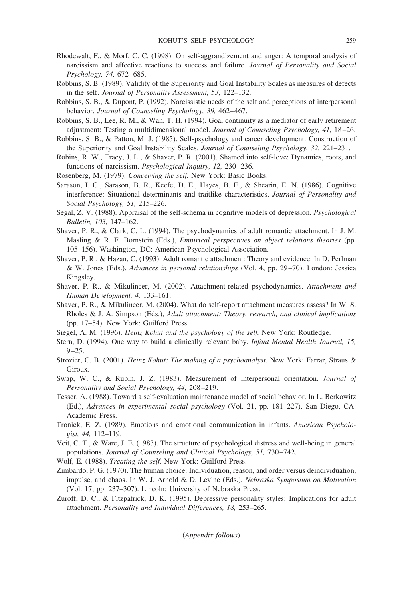- Rhodewalt, F., & Morf, C. C. (1998). On self-aggrandizement and anger: A temporal analysis of narcissism and affective reactions to success and failure. *Journal of Personality and Social Psychology, 74,* 672–685.
- Robbins, S. B. (1989). Validity of the Superiority and Goal Instability Scales as measures of defects in the self. *Journal of Personality Assessment, 53,* 122–132.
- Robbins, S. B., & Dupont, P. (1992). Narcissistic needs of the self and perceptions of interpersonal behavior. *Journal of Counseling Psychology, 39,* 462–467.
- Robbins, S. B., Lee, R. M., & Wan, T. H. (1994). Goal continuity as a mediator of early retirement adjustment: Testing a multidimensional model. *Journal of Counseling Psychology, 41,* 18–26.
- Robbins, S. B., & Patton, M. J. (1985). Self-psychology and career development: Construction of the Superiority and Goal Instability Scales. *Journal of Counseling Psychology, 32,* 221–231.
- Robins, R. W., Tracy, J. L., & Shaver, P. R. (2001). Shamed into self-love: Dynamics, roots, and functions of narcissism. *Psychological Inquiry, 12,* 230–236.
- Rosenberg, M. (1979). *Conceiving the self.* New York: Basic Books.
- Sarason, I. G., Sarason, B. R., Keefe, D. E., Hayes, B. E., & Shearin, E. N. (1986). Cognitive interference: Situational determinants and traitlike characteristics. *Journal of Personality and Social Psychology, 51,* 215–226.
- Segal, Z. V. (1988). Appraisal of the self-schema in cognitive models of depression. *Psychological Bulletin, 103,* 147–162.
- Shaver, P. R., & Clark, C. L. (1994). The psychodynamics of adult romantic attachment. In J. M. Masling & R. F. Bornstein (Eds.), *Empirical perspectives on object relations theories* (pp. 105–156). Washington, DC: American Psychological Association.
- Shaver, P. R., & Hazan, C. (1993). Adult romantic attachment: Theory and evidence. In D. Perlman & W. Jones (Eds.), *Advances in personal relationships* (Vol. 4, pp. 29–70). London: Jessica Kingsley.
- Shaver, P. R., & Mikulincer, M. (2002). Attachment-related psychodynamics. *Attachment and Human Development, 4,* 133–161.
- Shaver, P. R., & Mikulincer, M. (2004). What do self-report attachment measures assess? In W. S. Rholes & J. A. Simpson (Eds.), *Adult attachment: Theory, research, and clinical implications* (pp. 17–54). New York: Guilford Press.
- Siegel, A. M. (1996). *Heinz Kohut and the psychology of the self.* New York: Routledge.
- Stern, D. (1994). One way to build a clinically relevant baby. *Infant Mental Health Journal, 15,*  $9 - 25.$
- Strozier, C. B. (2001). *Heinz Kohut: The making of a psychoanalyst.* New York: Farrar, Straus & Giroux.
- Swap, W. C., & Rubin, J. Z. (1983). Measurement of interpersonal orientation. *Journal of Personality and Social Psychology, 44,* 208–219.
- Tesser, A. (1988). Toward a self-evaluation maintenance model of social behavior. In L. Berkowitz (Ed.), *Advances in experimental social psychology* (Vol. 21, pp. 181–227). San Diego, CA: Academic Press.
- Tronick, E. Z. (1989). Emotions and emotional communication in infants. *American Psychologist, 44,* 112–119.
- Veit, C. T., & Ware, J. E. (1983). The structure of psychological distress and well-being in general populations. *Journal of Counseling and Clinical Psychology, 51,* 730–742.
- Wolf, E. (1988). *Treating the self.* New York: Guilford Press.
- Zimbardo, P. G. (1970). The human choice: Individuation, reason, and order versus deindividuation, impulse, and chaos. In W. J. Arnold & D. Levine (Eds.), *Nebraska Symposium on Motivation* (Vol. 17, pp. 237–307). Lincoln: University of Nebraska Press.
- Zuroff, D. C., & Fitzpatrick, D. K. (1995). Depressive personality styles: Implications for adult attachment. *Personality and Individual Differences, 18,* 253–265.

(*Appendix follows*)